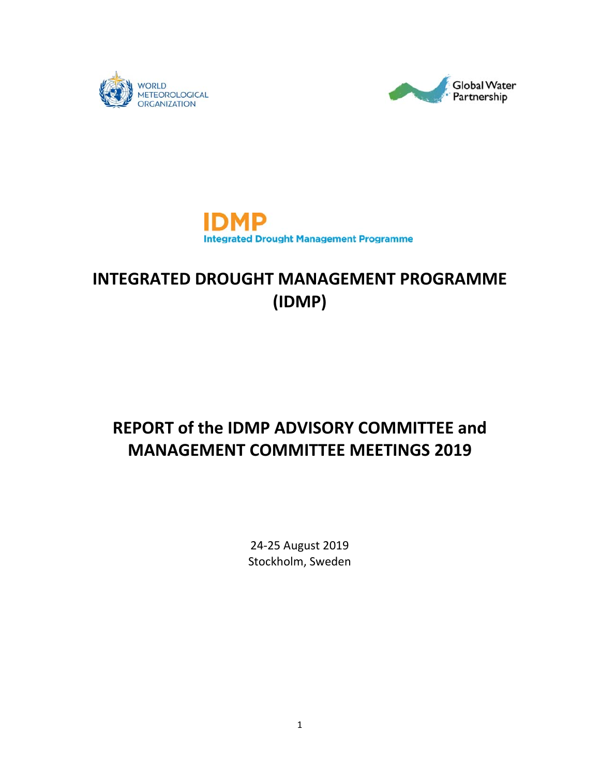





## **INTEGRATED DROUGHT MANAGEMENT PROGRAMME (IDMP)**

# **REPORT of the IDMP ADVISORY COMMITTEE and MANAGEMENT COMMITTEE MEETINGS 2019**

24‐25 August 2019 Stockholm, Sweden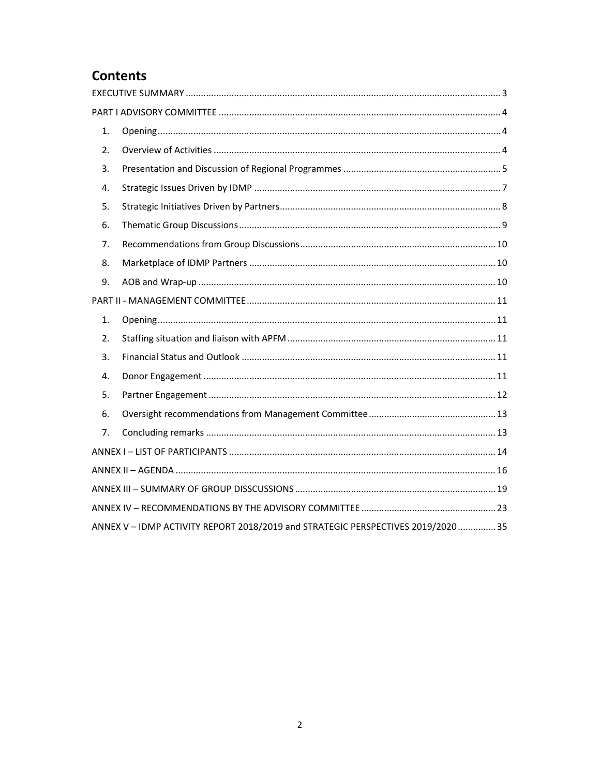### **Contents**

| 1. |                                                                                 |  |
|----|---------------------------------------------------------------------------------|--|
| 2. |                                                                                 |  |
| 3. |                                                                                 |  |
| 4. |                                                                                 |  |
| 5. |                                                                                 |  |
| 6. |                                                                                 |  |
| 7. |                                                                                 |  |
| 8. |                                                                                 |  |
| 9. |                                                                                 |  |
|    |                                                                                 |  |
| 1. |                                                                                 |  |
| 2. |                                                                                 |  |
| 3. |                                                                                 |  |
| 4. |                                                                                 |  |
| 5. |                                                                                 |  |
| 6. |                                                                                 |  |
| 7. |                                                                                 |  |
|    |                                                                                 |  |
|    |                                                                                 |  |
|    |                                                                                 |  |
|    |                                                                                 |  |
|    | ANNEX V - IDMP ACTIVITY REPORT 2018/2019 and STRATEGIC PERSPECTIVES 2019/202035 |  |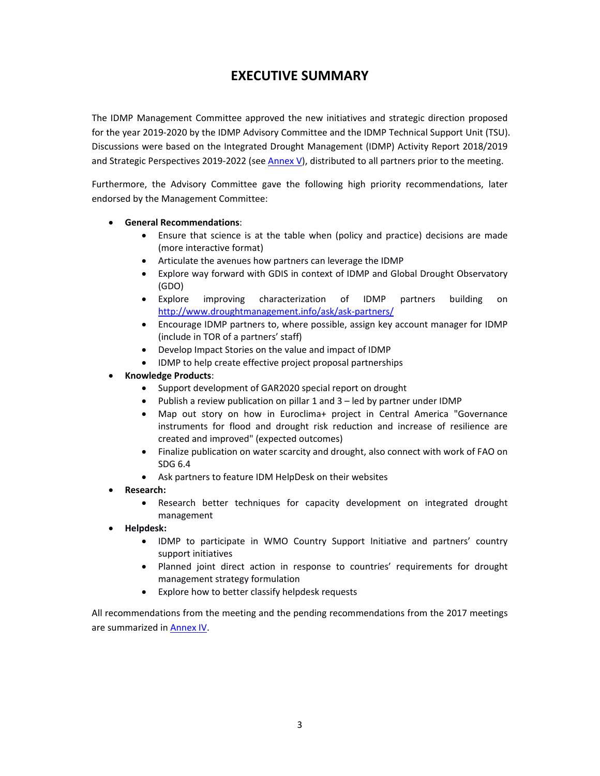### **EXECUTIVE SUMMARY**

The IDMP Management Committee approved the new initiatives and strategic direction proposed for the year 2019-2020 by the IDMP Advisory Committee and the IDMP Technical Support Unit (TSU). Discussions were based on the Integrated Drought Management (IDMP) Activity Report 2018/2019 and Strategic Perspectives 2019-2022 (see Annex V), distributed to all partners prior to the meeting.

Furthermore, the Advisory Committee gave the following high priority recommendations, later endorsed by the Management Committee:

#### **General Recommendations**:

- Ensure that science is at the table when (policy and practice) decisions are made (more interactive format)
- Articulate the avenues how partners can leverage the IDMP
- Explore way forward with GDIS in context of IDMP and Global Drought Observatory (GDO)
- Explore improving characterization of IDMP partners building on http://www.droughtmanagement.info/ask/ask‐partners/
- Encourage IDMP partners to, where possible, assign key account manager for IDMP (include in TOR of a partners' staff)
- Develop Impact Stories on the value and impact of IDMP
- IDMP to help create effective project proposal partnerships
- **Knowledge Products**:
	- Support development of GAR2020 special report on drought
	- Publish a review publication on pillar 1 and 3 led by partner under IDMP
	- Map out story on how in Euroclima+ project in Central America "Governance instruments for flood and drought risk reduction and increase of resilience are created and improved" (expected outcomes)
	- Finalize publication on water scarcity and drought, also connect with work of FAO on SDG 6.4
	- Ask partners to feature IDM HelpDesk on their websites
- **Research:**
	- Research better techniques for capacity development on integrated drought management
- **Helpdesk:**
	- IDMP to participate in WMO Country Support Initiative and partners' country support initiatives
	- Planned joint direct action in response to countries' requirements for drought management strategy formulation
	- Explore how to better classify helpdesk requests

All recommendations from the meeting and the pending recommendations from the 2017 meetings are summarized in Annex IV.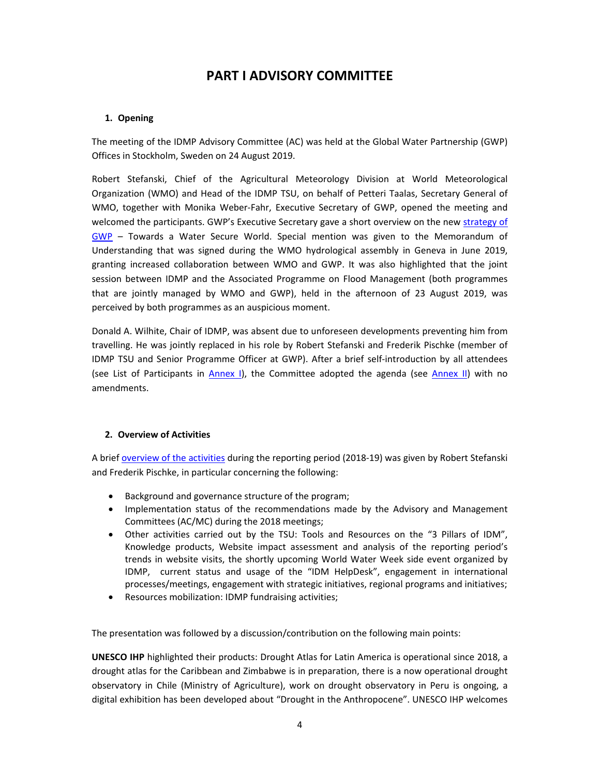### **PART I ADVISORY COMMITTEE**

#### **1. Opening**

The meeting of the IDMP Advisory Committee (AC) was held at the Global Water Partnership (GWP) Offices in Stockholm, Sweden on 24 August 2019.

Robert Stefanski, Chief of the Agricultural Meteorology Division at World Meteorological Organization (WMO) and Head of the IDMP TSU, on behalf of Petteri Taalas, Secretary General of WMO, together with Monika Weber-Fahr, Executive Secretary of GWP, opened the meeting and welcomed the participants. GWP's Executive Secretary gave a short overview on the new strategy of GWP – Towards a Water Secure World. Special mention was given to the Memorandum of Understanding that was signed during the WMO hydrological assembly in Geneva in June 2019, granting increased collaboration between WMO and GWP. It was also highlighted that the joint session between IDMP and the Associated Programme on Flood Management (both programmes that are jointly managed by WMO and GWP), held in the afternoon of 23 August 2019, was perceived by both programmes as an auspicious moment.

Donald A. Wilhite, Chair of IDMP, was absent due to unforeseen developments preventing him from travelling. He was jointly replaced in his role by Robert Stefanski and Frederik Pischke (member of IDMP TSU and Senior Programme Officer at GWP). After a brief self‐introduction by all attendees (see List of Participants in Annex I), the Committee adopted the agenda (see Annex II) with no amendments.

#### **2. Overview of Activities**

A brief overview of the activities during the reporting period (2018‐19) was given by Robert Stefanski and Frederik Pischke, in particular concerning the following:

- Background and governance structure of the program;
- Implementation status of the recommendations made by the Advisory and Management Committees (AC/MC) during the 2018 meetings;
- Other activities carried out by the TSU: Tools and Resources on the "3 Pillars of IDM", Knowledge products, Website impact assessment and analysis of the reporting period's trends in website visits, the shortly upcoming World Water Week side event organized by IDMP, current status and usage of the "IDM HelpDesk", engagement in international processes/meetings, engagement with strategic initiatives, regional programs and initiatives;
- Resources mobilization: IDMP fundraising activities;

The presentation was followed by a discussion/contribution on the following main points:

**UNESCO IHP** highlighted their products: Drought Atlas for Latin America is operational since 2018, a drought atlas for the Caribbean and Zimbabwe is in preparation, there is a now operational drought observatory in Chile (Ministry of Agriculture), work on drought observatory in Peru is ongoing, a digital exhibition has been developed about "Drought in the Anthropocene". UNESCO IHP welcomes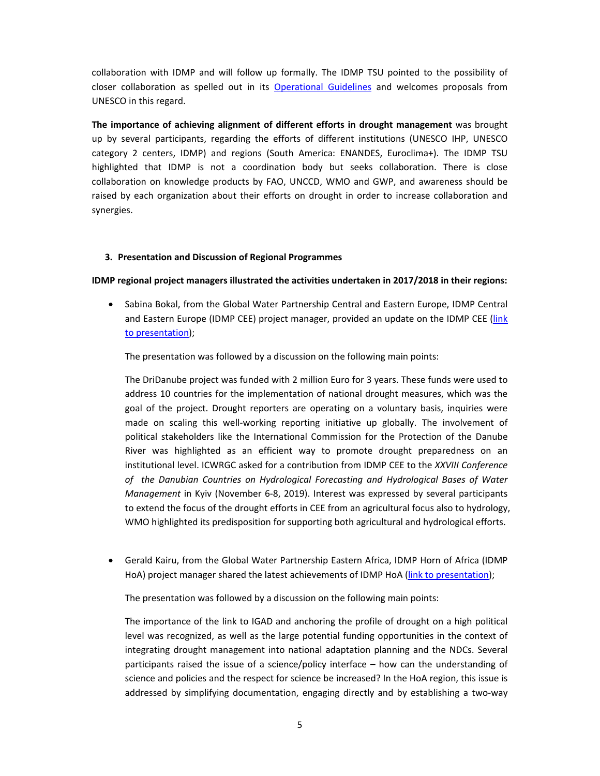collaboration with IDMP and will follow up formally. The IDMP TSU pointed to the possibility of closer collaboration as spelled out in its Operational Guidelines and welcomes proposals from UNESCO in this regard.

**The importance of achieving alignment of different efforts in drought management** was brought up by several participants, regarding the efforts of different institutions (UNESCO IHP, UNESCO category 2 centers, IDMP) and regions (South America: ENANDES, Euroclima+). The IDMP TSU highlighted that IDMP is not a coordination body but seeks collaboration. There is close collaboration on knowledge products by FAO, UNCCD, WMO and GWP, and awareness should be raised by each organization about their efforts on drought in order to increase collaboration and synergies.

#### **3. Presentation and Discussion of Regional Programmes**

#### **IDMP regional project managers illustrated the activities undertaken in 2017/2018 in their regions:**

• Sabina Bokal, from the Global Water Partnership Central and Eastern Europe, IDMP Central and Eastern Europe (IDMP CEE) project manager, provided an update on the IDMP CEE (link to presentation);

The presentation was followed by a discussion on the following main points:

The DriDanube project was funded with 2 million Euro for 3 years. These funds were used to address 10 countries for the implementation of national drought measures, which was the goal of the project. Drought reporters are operating on a voluntary basis, inquiries were made on scaling this well‐working reporting initiative up globally. The involvement of political stakeholders like the International Commission for the Protection of the Danube River was highlighted as an efficient way to promote drought preparedness on an institutional level. ICWRGC asked for a contribution from IDMP CEE to the *XXVIII Conference of the Danubian Countries on Hydrological Forecasting and Hydrological Bases of Water Management* in Kyiv (November 6‐8, 2019). Interest was expressed by several participants to extend the focus of the drought efforts in CEE from an agricultural focus also to hydrology, WMO highlighted its predisposition for supporting both agricultural and hydrological efforts.

 Gerald Kairu, from the Global Water Partnership Eastern Africa, IDMP Horn of Africa (IDMP HoA) project manager shared the latest achievements of IDMP HoA (link to presentation);

The presentation was followed by a discussion on the following main points:

The importance of the link to IGAD and anchoring the profile of drought on a high political level was recognized, as well as the large potential funding opportunities in the context of integrating drought management into national adaptation planning and the NDCs. Several participants raised the issue of a science/policy interface – how can the understanding of science and policies and the respect for science be increased? In the HoA region, this issue is addressed by simplifying documentation, engaging directly and by establishing a two‐way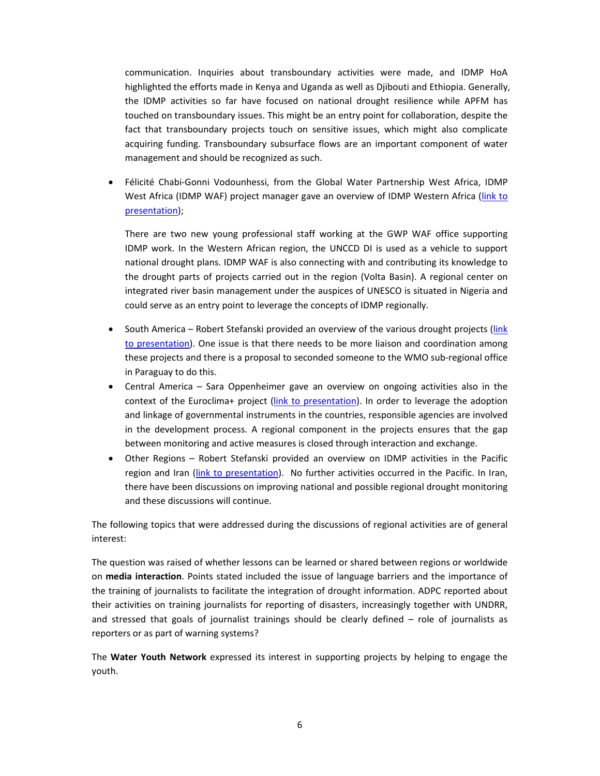communication. Inquiries about transboundary activities were made, and IDMP HoA highlighted the efforts made in Kenya and Uganda as well as Djibouti and Ethiopia. Generally, the IDMP activities so far have focused on national drought resilience while APFM has touched on transboundary issues. This might be an entry point for collaboration, despite the fact that transboundary projects touch on sensitive issues, which might also complicate acquiring funding. Transboundary subsurface flows are an important component of water management and should be recognized as such.

● Félicité Chabi-Gonni Vodounhessi, from the Global Water Partnership West Africa, IDMP West Africa (IDMP WAF) project manager gave an overview of IDMP Western Africa (link to presentation);

There are two new young professional staff working at the GWP WAF office supporting IDMP work. In the Western African region, the UNCCD DI is used as a vehicle to support national drought plans. IDMP WAF is also connecting with and contributing its knowledge to the drought parts of projects carried out in the region (Volta Basin). A regional center on integrated river basin management under the auspices of UNESCO is situated in Nigeria and could serve as an entry point to leverage the concepts of IDMP regionally.

- South America Robert Stefanski provided an overview of the various drought projects (link to presentation). One issue is that there needs to be more liaison and coordination among these projects and there is a proposal to seconded someone to the WMO sub‐regional office in Paraguay to do this.
- Central America Sara Oppenheimer gave an overview on ongoing activities also in the context of the Euroclima+ project (link to presentation). In order to leverage the adoption and linkage of governmental instruments in the countries, responsible agencies are involved in the development process. A regional component in the projects ensures that the gap between monitoring and active measures is closed through interaction and exchange.
- Other Regions Robert Stefanski provided an overview on IDMP activities in the Pacific region and Iran (link to presentation). No further activities occurred in the Pacific. In Iran, there have been discussions on improving national and possible regional drought monitoring and these discussions will continue.

The following topics that were addressed during the discussions of regional activities are of general interest:

The question was raised of whether lessons can be learned or shared between regions or worldwide on **media interaction**. Points stated included the issue of language barriers and the importance of the training of journalists to facilitate the integration of drought information. ADPC reported about their activities on training journalists for reporting of disasters, increasingly together with UNDRR, and stressed that goals of journalist trainings should be clearly defined – role of journalists as reporters or as part of warning systems?

The **Water Youth Network** expressed its interest in supporting projects by helping to engage the youth.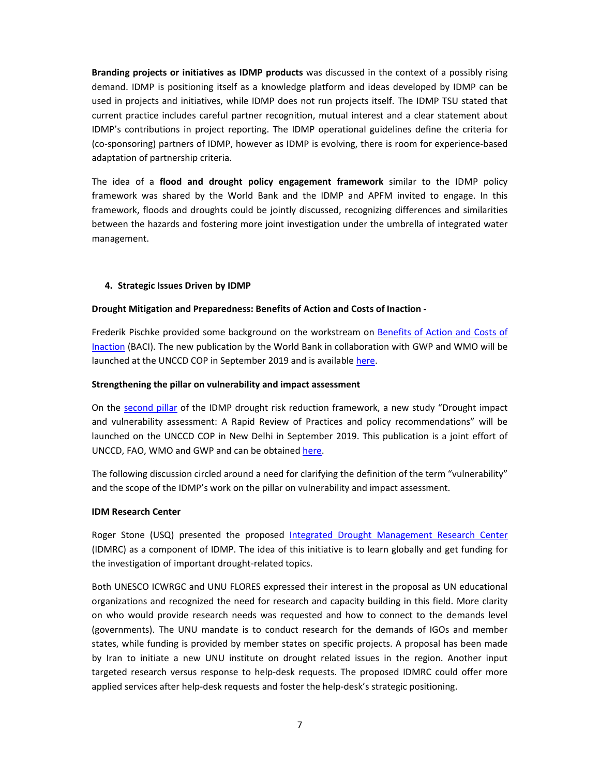**Branding projects or initiatives as IDMP products** was discussed in the context of a possibly rising demand. IDMP is positioning itself as a knowledge platform and ideas developed by IDMP can be used in projects and initiatives, while IDMP does not run projects itself. The IDMP TSU stated that current practice includes careful partner recognition, mutual interest and a clear statement about IDMP's contributions in project reporting. The IDMP operational guidelines define the criteria for (co‐sponsoring) partners of IDMP, however as IDMP is evolving, there is room for experience‐based adaptation of partnership criteria.

The idea of a **flood and drought policy engagement framework** similar to the IDMP policy framework was shared by the World Bank and the IDMP and APFM invited to engage. In this framework, floods and droughts could be jointly discussed, recognizing differences and similarities between the hazards and fostering more joint investigation under the umbrella of integrated water management.

#### **4. Strategic Issues Driven by IDMP**

#### **Drought Mitigation and Preparedness: Benefits of Action and Costs of Inaction ‐**

Frederik Pischke provided some background on the workstream on Benefits of Action and Costs of Inaction (BACI). The new publication by the World Bank in collaboration with GWP and WMO will be launched at the UNCCD COP in September 2019 and is available here.

#### **Strengthening the pillar on vulnerability and impact assessment**

On the second pillar of the IDMP drought risk reduction framework, a new study "Drought impact and vulnerability assessment: A Rapid Review of Practices and policy recommendations" will be launched on the UNCCD COP in New Delhi in September 2019. This publication is a joint effort of UNCCD, FAO, WMO and GWP and can be obtained here.

The following discussion circled around a need for clarifying the definition of the term "vulnerability" and the scope of the IDMP's work on the pillar on vulnerability and impact assessment.

#### **IDM Research Center**

Roger Stone (USQ) presented the proposed Integrated Drought Management Research Center (IDMRC) as a component of IDMP. The idea of this initiative is to learn globally and get funding for the investigation of important drought‐related topics.

Both UNESCO ICWRGC and UNU FLORES expressed their interest in the proposal as UN educational organizations and recognized the need for research and capacity building in this field. More clarity on who would provide research needs was requested and how to connect to the demands level (governments). The UNU mandate is to conduct research for the demands of IGOs and member states, while funding is provided by member states on specific projects. A proposal has been made by Iran to initiate a new UNU institute on drought related issues in the region. Another input targeted research versus response to help-desk requests. The proposed IDMRC could offer more applied services after help‐desk requests and foster the help‐desk's strategic positioning.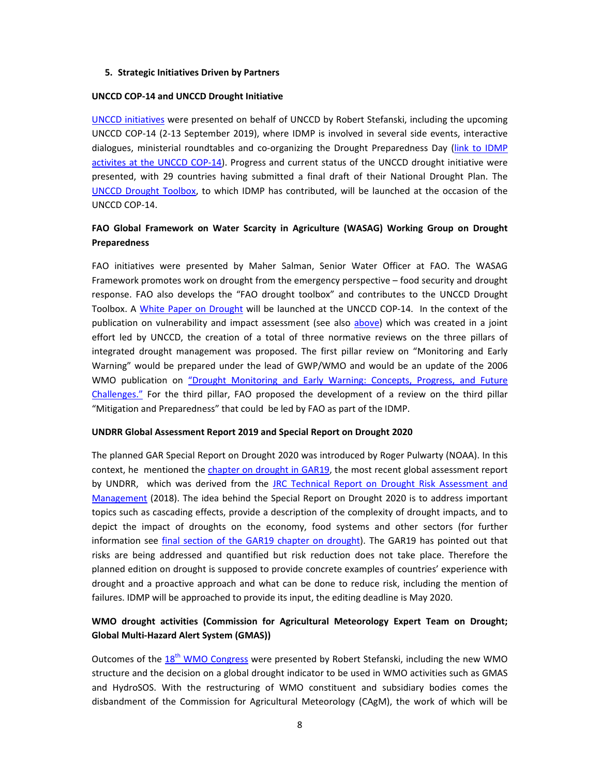#### **5. Strategic Initiatives Driven by Partners**

#### **UNCCD COP‐14 and UNCCD Drought Initiative**

UNCCD initiatives were presented on behalf of UNCCD by Robert Stefanski, including the upcoming UNCCD COP‐14 (2‐13 September 2019), where IDMP is involved in several side events, interactive dialogues, ministerial roundtables and co-organizing the Drought Preparedness Day (link to IDMP activites at the UNCCD COP‐14). Progress and current status of the UNCCD drought initiative were presented, with 29 countries having submitted a final draft of their National Drought Plan. The UNCCD Drought Toolbox, to which IDMP has contributed, will be launched at the occasion of the UNCCD COP‐14.

#### **FAO Global Framework on Water Scarcity in Agriculture (WASAG) Working Group on Drought Preparedness**

FAO initiatives were presented by Maher Salman, Senior Water Officer at FAO. The WASAG Framework promotes work on drought from the emergency perspective – food security and drought response. FAO also develops the "FAO drought toolbox" and contributes to the UNCCD Drought Toolbox. A White Paper on Drought will be launched at the UNCCD COP‐14. In the context of the publication on vulnerability and impact assessment (see also above) which was created in a joint effort led by UNCCD, the creation of a total of three normative reviews on the three pillars of integrated drought management was proposed. The first pillar review on "Monitoring and Early Warning" would be prepared under the lead of GWP/WMO and would be an update of the 2006 WMO publication on "Drought Monitoring and Early Warning: Concepts, Progress, and Future Challenges." For the third pillar, FAO proposed the development of a review on the third pillar "Mitigation and Preparedness" that could be led by FAO as part of the IDMP.

#### **UNDRR Global Assessment Report 2019 and Special Report on Drought 2020**

The planned GAR Special Report on Drought 2020 was introduced by Roger Pulwarty (NOAA). In this context, he mentioned the chapter on drought in GAR19, the most recent global assessment report by UNDRR, which was derived from the JRC Technical Report on Drought Risk Assessment and Management (2018). The idea behind the Special Report on Drought 2020 is to address important topics such as cascading effects, provide a description of the complexity of drought impacts, and to depict the impact of droughts on the economy, food systems and other sectors (for further information see final section of the GAR19 chapter on drought). The GAR19 has pointed out that risks are being addressed and quantified but risk reduction does not take place. Therefore the planned edition on drought is supposed to provide concrete examples of countries' experience with drought and a proactive approach and what can be done to reduce risk, including the mention of failures. IDMP will be approached to provide its input, the editing deadline is May 2020.

#### **WMO drought activities (Commission for Agricultural Meteorology Expert Team on Drought; Global Multi‐Hazard Alert System (GMAS))**

Outcomes of the  $18<sup>th</sup>$  WMO Congress were presented by Robert Stefanski, including the new WMO structure and the decision on a global drought indicator to be used in WMO activities such as GMAS and HydroSOS. With the restructuring of WMO constituent and subsidiary bodies comes the disbandment of the Commission for Agricultural Meteorology (CAgM), the work of which will be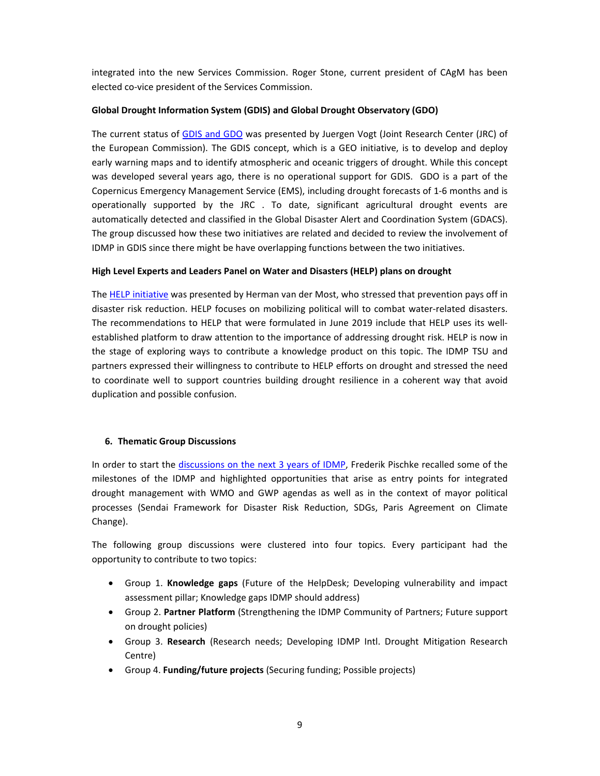integrated into the new Services Commission. Roger Stone, current president of CAgM has been elected co‐vice president of the Services Commission.

#### **Global Drought Information System (GDIS) and Global Drought Observatory (GDO)**

The current status of GDIS and GDO was presented by Juergen Vogt (Joint Research Center (JRC) of the European Commission). The GDIS concept, which is a GEO initiative, is to develop and deploy early warning maps and to identify atmospheric and oceanic triggers of drought. While this concept was developed several years ago, there is no operational support for GDIS. GDO is a part of the Copernicus Emergency Management Service (EMS), including drought forecasts of 1‐6 months and is operationally supported by the JRC . To date, significant agricultural drought events are automatically detected and classified in the Global Disaster Alert and Coordination System (GDACS). The group discussed how these two initiatives are related and decided to review the involvement of IDMP in GDIS since there might be have overlapping functions between the two initiatives.

#### **High Level Experts and Leaders Panel on Water and Disasters (HELP) plans on drought**

The HELP initiative was presented by Herman van der Most, who stressed that prevention pays off in disaster risk reduction. HELP focuses on mobilizing political will to combat water‐related disasters. The recommendations to HELP that were formulated in June 2019 include that HELP uses its well‐ established platform to draw attention to the importance of addressing drought risk. HELP is now in the stage of exploring ways to contribute a knowledge product on this topic. The IDMP TSU and partners expressed their willingness to contribute to HELP efforts on drought and stressed the need to coordinate well to support countries building drought resilience in a coherent way that avoid duplication and possible confusion.

#### **6. Thematic Group Discussions**

In order to start the discussions on the next 3 years of IDMP, Frederik Pischke recalled some of the milestones of the IDMP and highlighted opportunities that arise as entry points for integrated drought management with WMO and GWP agendas as well as in the context of mayor political processes (Sendai Framework for Disaster Risk Reduction, SDGs, Paris Agreement on Climate Change).

The following group discussions were clustered into four topics. Every participant had the opportunity to contribute to two topics:

- Group 1. **Knowledge gaps** (Future of the HelpDesk; Developing vulnerability and impact assessment pillar; Knowledge gaps IDMP should address)
- Group 2. **Partner Platform** (Strengthening the IDMP Community of Partners; Future support on drought policies)
- Group 3. **Research** (Research needs; Developing IDMP Intl. Drought Mitigation Research Centre)
- Group 4. **Funding/future projects** (Securing funding; Possible projects)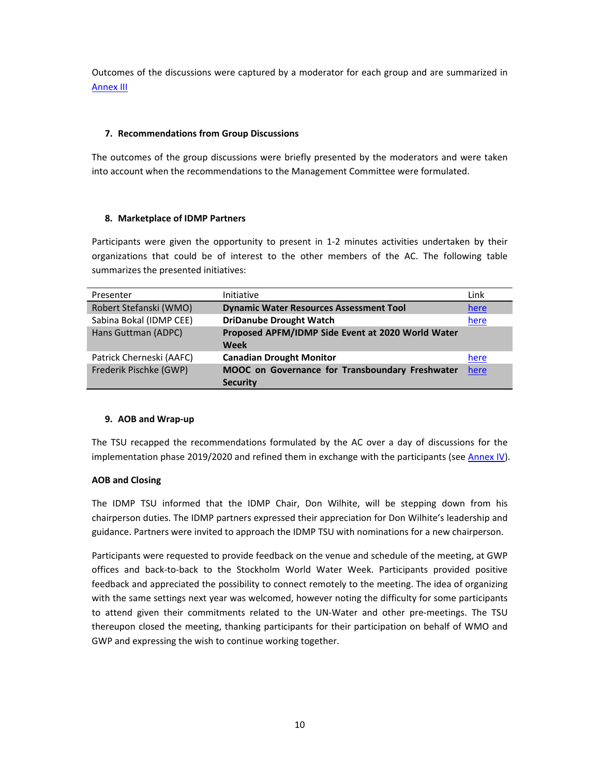Outcomes of the discussions were captured by a moderator for each group and are summarized in Annex III

#### **7. Recommendations from Group Discussions**

The outcomes of the group discussions were briefly presented by the moderators and were taken into account when the recommendations to the Management Committee were formulated.

#### **8. Marketplace of IDMP Partners**

Participants were given the opportunity to present in 1‐2 minutes activities undertaken by their organizations that could be of interest to the other members of the AC. The following table summarizes the presented initiatives:

| Presenter                | <b>Initiative</b>                                 | Link |
|--------------------------|---------------------------------------------------|------|
| Robert Stefanski (WMO)   | <b>Dynamic Water Resources Assessment Tool</b>    | here |
| Sabina Bokal (IDMP CEE)  | <b>DriDanube Drought Watch</b>                    | here |
| Hans Guttman (ADPC)      | Proposed APFM/IDMP Side Event at 2020 World Water |      |
|                          | <b>Week</b>                                       |      |
| Patrick Cherneski (AAFC) | <b>Canadian Drought Monitor</b>                   | here |
| Frederik Pischke (GWP)   | MOOC on Governance for Transboundary Freshwater   | here |
|                          | <b>Security</b>                                   |      |

#### **9. AOB and Wrap‐up**

The TSU recapped the recommendations formulated by the AC over a day of discussions for the implementation phase 2019/2020 and refined them in exchange with the participants (see Annex IV).

#### **AOB and Closing**

The IDMP TSU informed that the IDMP Chair, Don Wilhite, will be stepping down from his chairperson duties. The IDMP partners expressed their appreciation for Don Wilhite's leadership and guidance. Partners were invited to approach the IDMP TSU with nominations for a new chairperson.

Participants were requested to provide feedback on the venue and schedule of the meeting, at GWP offices and back‐to‐back to the Stockholm World Water Week. Participants provided positive feedback and appreciated the possibility to connect remotely to the meeting. The idea of organizing with the same settings next year was welcomed, however noting the difficulty for some participants to attend given their commitments related to the UN‐Water and other pre‐meetings. The TSU thereupon closed the meeting, thanking participants for their participation on behalf of WMO and GWP and expressing the wish to continue working together.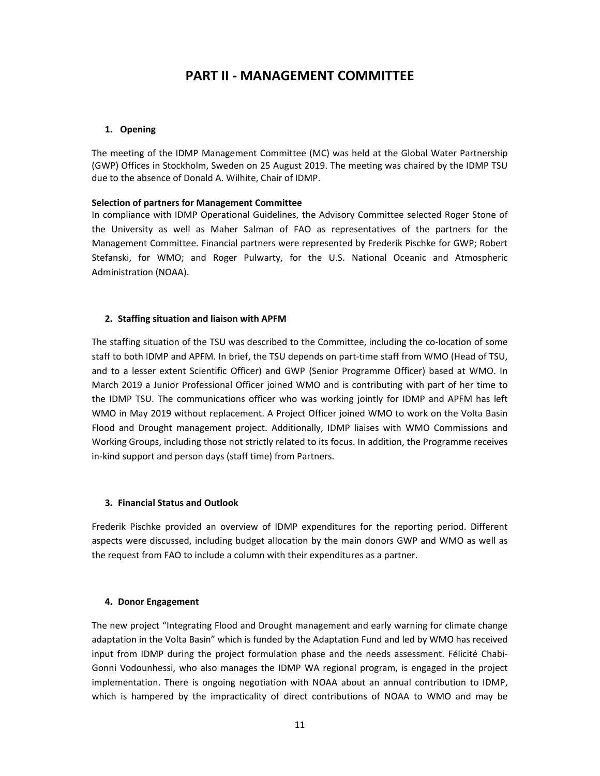### **PART II ‐ MANAGEMENT COMMITTEE**

#### **1. Opening**

The meeting of the IDMP Management Committee (MC) was held at the Global Water Partnership (GWP) Offices in Stockholm, Sweden on 25 August 2019. The meeting was chaired by the IDMP TSU due to the absence of Donald A. Wilhite, Chair of IDMP.

#### **Selection of partners for Management Committee**

In compliance with IDMP Operational Guidelines, the Advisory Committee selected Roger Stone of the University as well as Maher Salman of FAO as representatives of the partners for the Management Committee. Financial partners were represented by Frederik Pischke for GWP; Robert Stefanski, for WMO; and Roger Pulwarty, for the U.S. National Oceanic and Atmospheric Administration (NOAA).

#### **2. Staffing situation and liaison with APFM**

The staffing situation of the TSU was described to the Committee, including the co-location of some staff to both IDMP and APFM. In brief, the TSU depends on part‐time staff from WMO (Head of TSU, and to a lesser extent Scientific Officer) and GWP (Senior Programme Officer) based at WMO. In March 2019 a Junior Professional Officer joined WMO and is contributing with part of her time to the IDMP TSU. The communications officer who was working jointly for IDMP and APFM has left WMO in May 2019 without replacement. A Project Officer joined WMO to work on the Volta Basin Flood and Drought management project. Additionally, IDMP liaises with WMO Commissions and Working Groups, including those not strictly related to its focus. In addition, the Programme receives in-kind support and person days (staff time) from Partners.

#### **3. Financial Status and Outlook**

Frederik Pischke provided an overview of IDMP expenditures for the reporting period. Different aspects were discussed, including budget allocation by the main donors GWP and WMO as well as the request from FAO to include a column with their expenditures as a partner.

#### **4. Donor Engagement**

The new project "Integrating Flood and Drought management and early warning for climate change adaptation in the Volta Basin" which is funded by the Adaptation Fund and led by WMO has received input from IDMP during the project formulation phase and the needs assessment. Félicité Chabi-Gonni Vodounhessi, who also manages the IDMP WA regional program, is engaged in the project implementation. There is ongoing negotiation with NOAA about an annual contribution to IDMP, which is hampered by the impracticality of direct contributions of NOAA to WMO and may be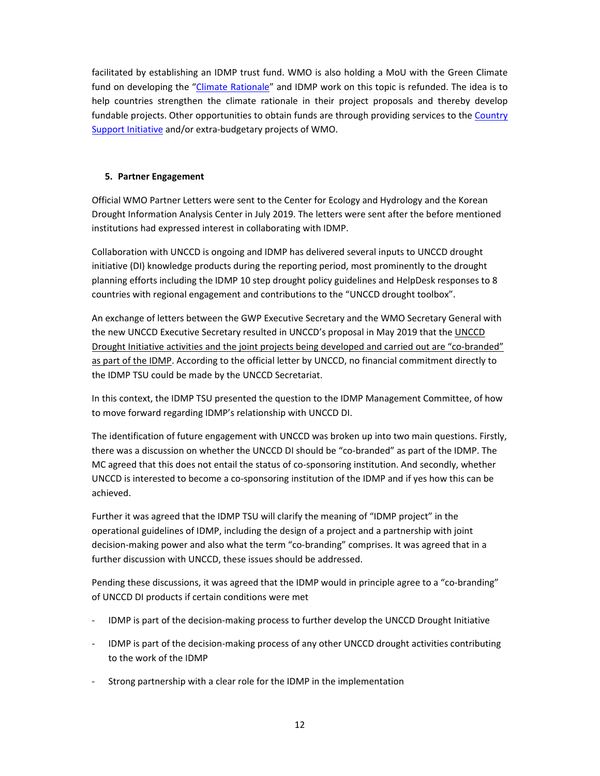facilitated by establishing an IDMP trust fund. WMO is also holding a MoU with the Green Climate fund on developing the "Climate Rationale" and IDMP work on this topic is refunded. The idea is to help countries strengthen the climate rationale in their project proposals and thereby develop fundable projects. Other opportunities to obtain funds are through providing services to the Country Support Initiative and/or extra-budgetary projects of WMO.

#### **5. Partner Engagement**

Official WMO Partner Letters were sent to the Center for Ecology and Hydrology and the Korean Drought Information Analysis Center in July 2019. The letters were sent after the before mentioned institutions had expressed interest in collaborating with IDMP.

Collaboration with UNCCD is ongoing and IDMP has delivered several inputs to UNCCD drought initiative (DI) knowledge products during the reporting period, most prominently to the drought planning efforts including the IDMP 10 step drought policy guidelines and HelpDesk responses to 8 countries with regional engagement and contributions to the "UNCCD drought toolbox".

An exchange of letters between the GWP Executive Secretary and the WMO Secretary General with the new UNCCD Executive Secretary resulted in UNCCD's proposal in May 2019 that the UNCCD Drought Initiative activities and the joint projects being developed and carried out are "co‐branded" as part of the IDMP. According to the official letter by UNCCD, no financial commitment directly to the IDMP TSU could be made by the UNCCD Secretariat.

In this context, the IDMP TSU presented the question to the IDMP Management Committee, of how to move forward regarding IDMP's relationship with UNCCD DI.

The identification of future engagement with UNCCD was broken up into two main questions. Firstly, there was a discussion on whether the UNCCD DI should be "co‐branded" as part of the IDMP. The MC agreed that this does not entail the status of co‐sponsoring institution. And secondly, whether UNCCD is interested to become a co‐sponsoring institution of the IDMP and if yes how this can be achieved.

Further it was agreed that the IDMP TSU will clarify the meaning of "IDMP project" in the operational guidelines of IDMP, including the design of a project and a partnership with joint decision‐making power and also what the term "co‐branding" comprises. It was agreed that in a further discussion with UNCCD, these issues should be addressed.

Pending these discussions, it was agreed that the IDMP would in principle agree to a "co‐branding" of UNCCD DI products if certain conditions were met

- ‐ IDMP is part of the decision‐making process to further develop the UNCCD Drought Initiative
- ‐ IDMP is part of the decision‐making process of any other UNCCD drought activities contributing to the work of the IDMP
- Strong partnership with a clear role for the IDMP in the implementation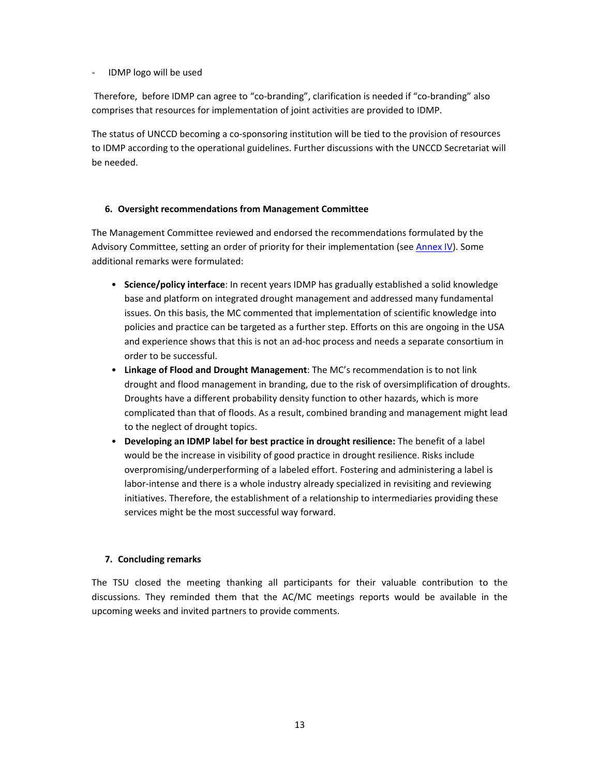#### ‐ IDMP logo will be used

Therefore, before IDMP can agree to "co-branding", clarification is needed if "co-branding" also comprises that resources for implementation of joint activities are provided to IDMP.

The status of UNCCD becoming a co-sponsoring institution will be tied to the provision of resources to IDMP according to the operational guidelines. Further discussions with the UNCCD Secretariat will be needed.

#### **6. Oversight recommendations from Management Committee**

The Management Committee reviewed and endorsed the recommendations formulated by the Advisory Committee, setting an order of priority for their implementation (see Annex IV). Some additional remarks were formulated:

- **Science/policy interface**: In recent years IDMP has gradually established a solid knowledge base and platform on integrated drought management and addressed many fundamental issues. On this basis, the MC commented that implementation of scientific knowledge into policies and practice can be targeted as a further step. Efforts on this are ongoing in the USA and experience shows that this is not an ad‐hoc process and needs a separate consortium in order to be successful.
- **Linkage of Flood and Drought Management**: The MC's recommendation is to not link drought and flood management in branding, due to the risk of oversimplification of droughts. Droughts have a different probability density function to other hazards, which is more complicated than that of floods. As a result, combined branding and management might lead to the neglect of drought topics.
- **Developing an IDMP label for best practice in drought resilience:** The benefit of a label would be the increase in visibility of good practice in drought resilience. Risks include overpromising/underperforming of a labeled effort. Fostering and administering a label is labor-intense and there is a whole industry already specialized in revisiting and reviewing initiatives. Therefore, the establishment of a relationship to intermediaries providing these services might be the most successful way forward.

#### **7. Concluding remarks**

The TSU closed the meeting thanking all participants for their valuable contribution to the discussions. They reminded them that the AC/MC meetings reports would be available in the upcoming weeks and invited partners to provide comments.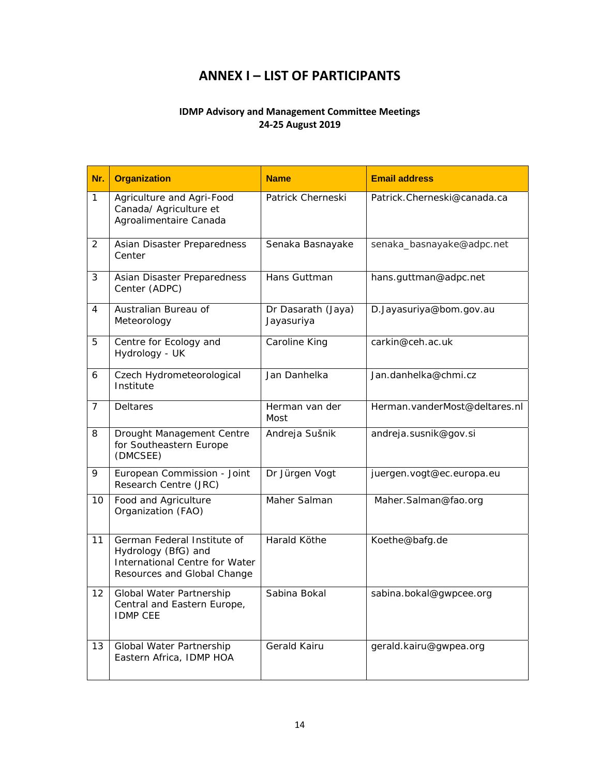### **ANNEX I – LIST OF PARTICIPANTS**

#### **IDMP Advisory and Management Committee Meetings 24‐25 August 2019**

| Nr.            | <b>Organization</b>                                                                                                 | <b>Name</b>                      | <b>Email address</b>          |
|----------------|---------------------------------------------------------------------------------------------------------------------|----------------------------------|-------------------------------|
| 1              | Agriculture and Agri-Food<br>Canada/ Agriculture et<br>Agroalimentaire Canada                                       | Patrick Cherneski                | Patrick.Cherneski@canada.ca   |
| $\overline{2}$ | Asian Disaster Preparedness<br>Center                                                                               | Senaka Basnayake                 | senaka_basnayake@adpc.net     |
| 3              | Asian Disaster Preparedness<br>Center (ADPC)                                                                        | Hans Guttman                     | hans.guttman@adpc.net         |
| 4              | Australian Bureau of<br>Meteorology                                                                                 | Dr Dasarath (Jaya)<br>Jayasuriya | D.Jayasuriya@bom.gov.au       |
| 5              | Centre for Ecology and<br>Hydrology - UK                                                                            | Caroline King                    | carkin@ceh.ac.uk              |
| 6              | Czech Hydrometeorological<br>Institute                                                                              | Jan Danhelka                     | Jan.danhelka@chmi.cz          |
| $\overline{7}$ | Deltares                                                                                                            | Herman van der<br>Most           | Herman.vanderMost@deltares.nl |
| 8              | Drought Management Centre<br>for Southeastern Europe<br>(DMCSEE)                                                    | Andreja Sušnik                   | andreja.susnik@gov.si         |
| 9              | European Commission - Joint<br>Research Centre (JRC)                                                                | Dr Jürgen Vogt                   | juergen.vogt@ec.europa.eu     |
| 10             | Food and Agriculture<br>Organization (FAO)                                                                          | Maher Salman                     | Maher.Salman@fao.org          |
| 11             | German Federal Institute of<br>Hydrology (BfG) and<br>International Centre for Water<br>Resources and Global Change | Harald Köthe                     | Koethe@bafg.de                |
| 12             | Global Water Partnership<br>Central and Eastern Europe,<br><b>IDMP CEE</b>                                          | Sabina Bokal                     | sabina.bokal@gwpcee.org       |
| 13             | Global Water Partnership<br>Eastern Africa, IDMP HOA                                                                | Gerald Kairu                     | gerald.kairu@gwpea.org        |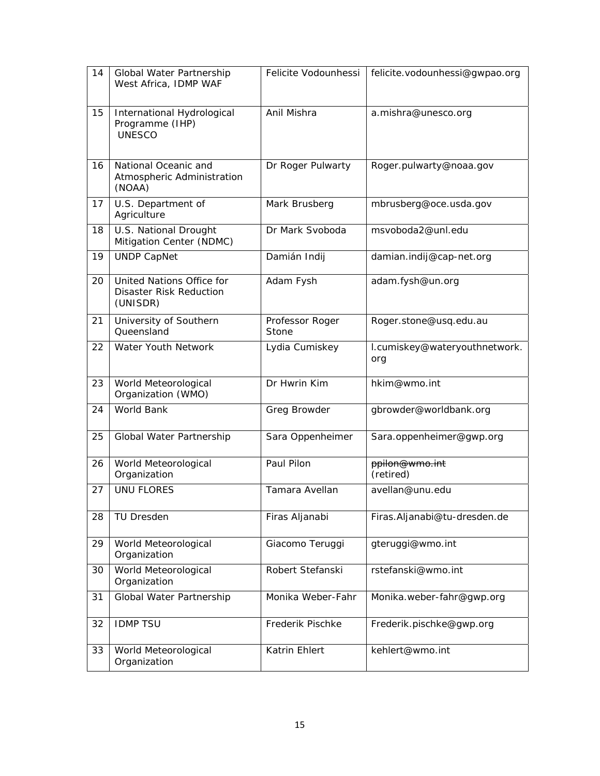| 14 | Global Water Partnership<br>West Africa, IDMP WAF                       | Felicite Vodounhessi     | felicite.vodounhessi@gwpao.org       |
|----|-------------------------------------------------------------------------|--------------------------|--------------------------------------|
| 15 | International Hydrological<br>Programme (IHP)<br><b>UNESCO</b>          | Anil Mishra              | a.mishra@unesco.org                  |
| 16 | National Oceanic and<br>Atmospheric Administration<br>(NOAA)            | Dr Roger Pulwarty        | Roger.pulwarty@noaa.gov              |
| 17 | U.S. Department of<br>Agriculture                                       | Mark Brusberg            | mbrusberg@oce.usda.gov               |
| 18 | U.S. National Drought<br>Mitigation Center (NDMC)                       | Dr Mark Svoboda          | msvoboda2@unl.edu                    |
| 19 | <b>UNDP CapNet</b>                                                      | Damián Indij             | damian.indij@cap-net.org             |
| 20 | United Nations Office for<br><b>Disaster Risk Reduction</b><br>(UNISDR) | Adam Fysh                | adam.fysh@un.org                     |
| 21 | University of Southern<br>Queensland                                    | Professor Roger<br>Stone | Roger.stone@usq.edu.au               |
| 22 | Water Youth Network                                                     | Lydia Cumiskey           | I.cumiskey@wateryouthnetwork.<br>org |
| 23 | World Meteorological<br>Organization (WMO)                              | Dr Hwrin Kim             | hkim@wmo.int                         |
| 24 | World Bank                                                              | Greg Browder             | gbrowder@worldbank.org               |
| 25 | Global Water Partnership                                                | Sara Oppenheimer         | Sara.oppenheimer@gwp.org             |
| 26 | World Meteorological<br>Organization                                    | Paul Pilon               | ppilon@wmo.int<br>(retired)          |
| 27 | <b>UNU FLORES</b>                                                       | Tamara Avellan           | avellan@unu.edu                      |
| 28 | <b>TU Dresden</b>                                                       | Firas Aljanabi           | Firas.Aljanabi@tu-dresden.de         |
| 29 | World Meteorological<br>Organization                                    | Giacomo Teruggi          | gteruggi@wmo.int                     |
| 30 | World Meteorological<br>Organization                                    | Robert Stefanski         | rstefanski@wmo.int                   |
| 31 | Global Water Partnership                                                | Monika Weber-Fahr        | Monika.weber-fahr@gwp.org            |
| 32 | <b>IDMP TSU</b>                                                         | Frederik Pischke         | Frederik.pischke@gwp.org             |
| 33 | World Meteorological<br>Organization                                    | Katrin Ehlert            | kehlert@wmo.int                      |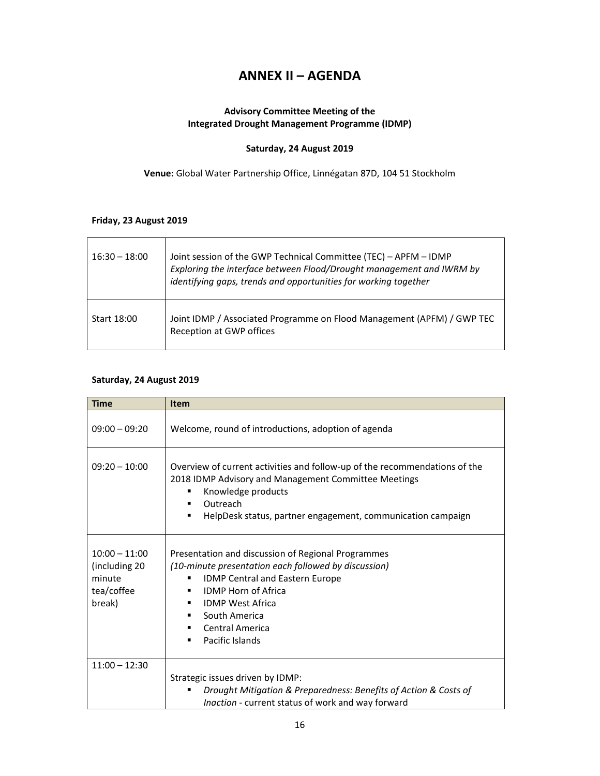### **ANNEX II – AGENDA**

#### **Advisory Committee Meeting of the Integrated Drought Management Programme (IDMP)**

#### **Saturday, 24 August 2019**

**Venue:** Global Water Partnership Office, Linnégatan 87D, 104 51 Stockholm

#### **Friday, 23 August 2019**

| $16:30 - 18:00$ | Joint session of the GWP Technical Committee (TEC) - APFM - IDMP<br>Exploring the interface between Flood/Drought management and IWRM by<br>identifying gaps, trends and opportunities for working together |
|-----------------|-------------------------------------------------------------------------------------------------------------------------------------------------------------------------------------------------------------|
| Start 18:00     | Joint IDMP / Associated Programme on Flood Management (APFM) / GWP TEC<br>Reception at GWP offices                                                                                                          |

#### **Saturday, 24 August 2019**

| <b>Time</b>                                                        | <b>Item</b>                                                                                                                                                                                                                                                                                                                   |
|--------------------------------------------------------------------|-------------------------------------------------------------------------------------------------------------------------------------------------------------------------------------------------------------------------------------------------------------------------------------------------------------------------------|
| $09:00 - 09:20$                                                    | Welcome, round of introductions, adoption of agenda                                                                                                                                                                                                                                                                           |
| $09:20 - 10:00$                                                    | Overview of current activities and follow-up of the recommendations of the<br>2018 IDMP Advisory and Management Committee Meetings<br>Knowledge products<br>п<br>Outreach<br>$\blacksquare$<br>HelpDesk status, partner engagement, communication campaign<br>$\blacksquare$                                                  |
| $10:00 - 11:00$<br>(including 20<br>minute<br>tea/coffee<br>break) | Presentation and discussion of Regional Programmes<br>(10-minute presentation each followed by discussion)<br>IDMP Central and Eastern Europe<br>п<br><b>IDMP Horn of Africa</b><br><b>IDMP West Africa</b><br>$\blacksquare$<br>South America<br>$\blacksquare$<br>Central America<br>$\blacksquare$<br>Pacific Islands<br>п |
| $11:00 - 12:30$                                                    |                                                                                                                                                                                                                                                                                                                               |
|                                                                    | Strategic issues driven by IDMP:<br>Drought Mitigation & Preparedness: Benefits of Action & Costs of                                                                                                                                                                                                                          |
|                                                                    | Inaction - current status of work and way forward                                                                                                                                                                                                                                                                             |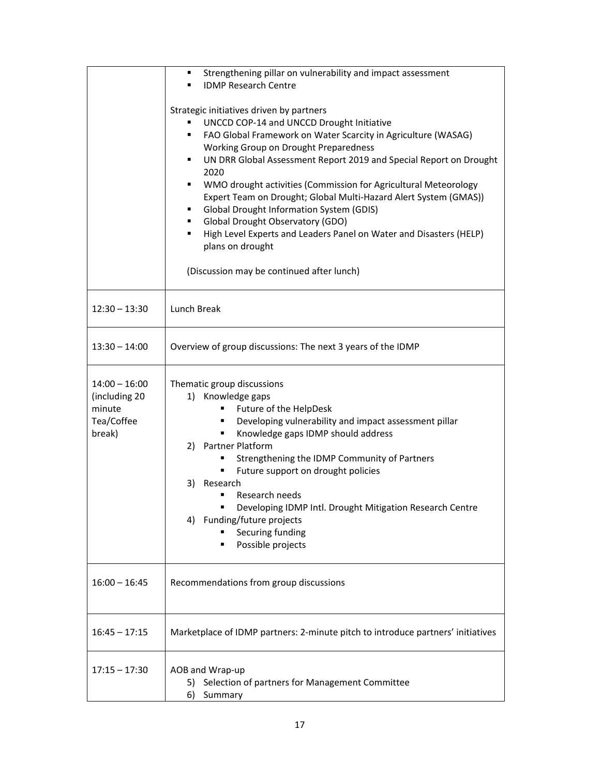|                                                                    | Strengthening pillar on vulnerability and impact assessment<br>٠<br><b>IDMP Research Centre</b><br>$\blacksquare$<br>Strategic initiatives driven by partners<br>UNCCD COP-14 and UNCCD Drought Initiative<br>FAO Global Framework on Water Scarcity in Agriculture (WASAG)<br>$\blacksquare$<br>Working Group on Drought Preparedness<br>UN DRR Global Assessment Report 2019 and Special Report on Drought<br>2020<br>WMO drought activities (Commission for Agricultural Meteorology<br>п.<br>Expert Team on Drought; Global Multi-Hazard Alert System (GMAS))<br><b>Global Drought Information System (GDIS)</b><br>$\blacksquare$<br>Global Drought Observatory (GDO)<br>$\blacksquare$ |
|--------------------------------------------------------------------|----------------------------------------------------------------------------------------------------------------------------------------------------------------------------------------------------------------------------------------------------------------------------------------------------------------------------------------------------------------------------------------------------------------------------------------------------------------------------------------------------------------------------------------------------------------------------------------------------------------------------------------------------------------------------------------------|
|                                                                    | High Level Experts and Leaders Panel on Water and Disasters (HELP)<br>$\blacksquare$<br>plans on drought<br>(Discussion may be continued after lunch)                                                                                                                                                                                                                                                                                                                                                                                                                                                                                                                                        |
| $12:30 - 13:30$                                                    | Lunch Break                                                                                                                                                                                                                                                                                                                                                                                                                                                                                                                                                                                                                                                                                  |
| $13:30 - 14:00$                                                    | Overview of group discussions: The next 3 years of the IDMP                                                                                                                                                                                                                                                                                                                                                                                                                                                                                                                                                                                                                                  |
| $14:00 - 16:00$<br>(including 20<br>minute<br>Tea/Coffee<br>break) | Thematic group discussions<br>1) Knowledge gaps<br>Future of the HelpDesk<br>п<br>Developing vulnerability and impact assessment pillar<br>Knowledge gaps IDMP should address<br>2) Partner Platform<br>Strengthening the IDMP Community of Partners<br>Future support on drought policies<br>п<br>3) Research<br>Research needs<br>Developing IDMP Intl. Drought Mitigation Research Centre<br>4) Funding/future projects<br>Securing funding<br>Possible projects                                                                                                                                                                                                                          |
| $16:00 - 16:45$                                                    | Recommendations from group discussions                                                                                                                                                                                                                                                                                                                                                                                                                                                                                                                                                                                                                                                       |
| $16:45 - 17:15$                                                    | Marketplace of IDMP partners: 2-minute pitch to introduce partners' initiatives                                                                                                                                                                                                                                                                                                                                                                                                                                                                                                                                                                                                              |
| $17:15 - 17:30$                                                    | AOB and Wrap-up<br>5) Selection of partners for Management Committee<br>6)<br>Summary                                                                                                                                                                                                                                                                                                                                                                                                                                                                                                                                                                                                        |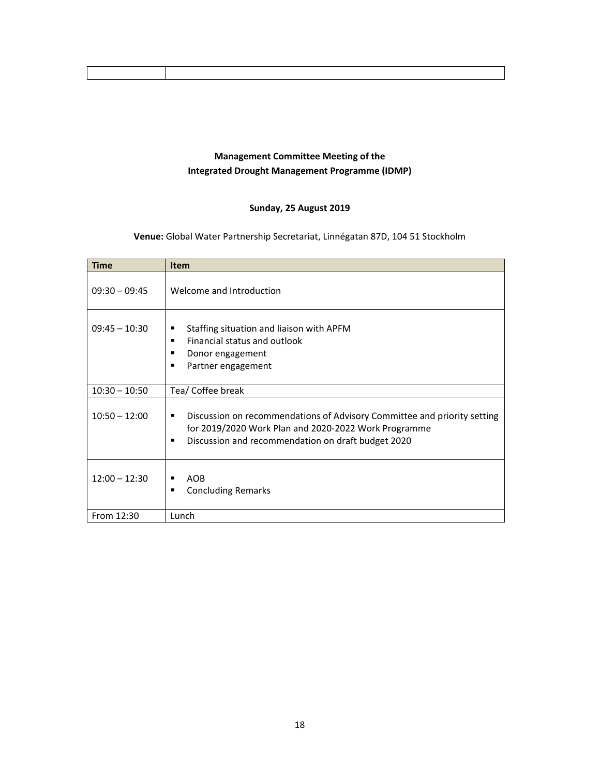### **Management Committee Meeting of the Integrated Drought Management Programme (IDMP)**

#### **Sunday, 25 August 2019**

#### **Venue:** Global Water Partnership Secretariat, Linnégatan 87D, 104 51 Stockholm

| <b>Time</b>     | <b>Item</b>                                                                                                                                                                                                   |
|-----------------|---------------------------------------------------------------------------------------------------------------------------------------------------------------------------------------------------------------|
| $09:30 - 09:45$ | Welcome and Introduction                                                                                                                                                                                      |
| $09:45 - 10:30$ | Staffing situation and liaison with APFM<br>п<br>Financial status and outlook<br>$\blacksquare$<br>Donor engagement<br>п<br>Partner engagement<br>п                                                           |
| $10:30 - 10:50$ | Tea/ Coffee break                                                                                                                                                                                             |
| $10:50 - 12:00$ | Discussion on recommendations of Advisory Committee and priority setting<br>п<br>for 2019/2020 Work Plan and 2020-2022 Work Programme<br>Discussion and recommendation on draft budget 2020<br>$\blacksquare$ |
| $12:00 - 12:30$ | <b>AOB</b><br>$\blacksquare$<br><b>Concluding Remarks</b><br>$\blacksquare$                                                                                                                                   |
| From 12:30      | Lunch                                                                                                                                                                                                         |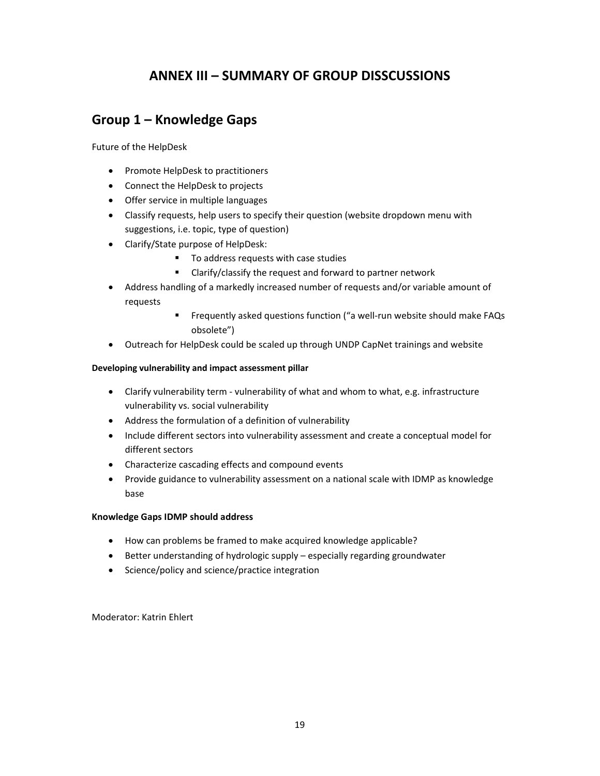### **ANNEX III – SUMMARY OF GROUP DISSCUSSIONS**

### **Group 1 – Knowledge Gaps**

Future of the HelpDesk

- Promote HelpDesk to practitioners
- Connect the HelpDesk to projects
- Offer service in multiple languages
- Classify requests, help users to specify their question (website dropdown menu with suggestions, i.e. topic, type of question)
- Clarify/State purpose of HelpDesk:
	- To address requests with case studies
	- Clarify/classify the request and forward to partner network
- Address handling of a markedly increased number of requests and/or variable amount of requests
	- Frequently asked questions function ("a well-run website should make FAQs obsolete")
- Outreach for HelpDesk could be scaled up through UNDP CapNet trainings and website

#### **Developing vulnerability and impact assessment pillar**

- Clarify vulnerability term ‐ vulnerability of what and whom to what, e.g. infrastructure vulnerability vs. social vulnerability
- Address the formulation of a definition of vulnerability
- Include different sectors into vulnerability assessment and create a conceptual model for different sectors
- Characterize cascading effects and compound events
- Provide guidance to vulnerability assessment on a national scale with IDMP as knowledge base

#### **Knowledge Gaps IDMP should address**

- How can problems be framed to make acquired knowledge applicable?
- Better understanding of hydrologic supply especially regarding groundwater
- Science/policy and science/practice integration

Moderator: Katrin Ehlert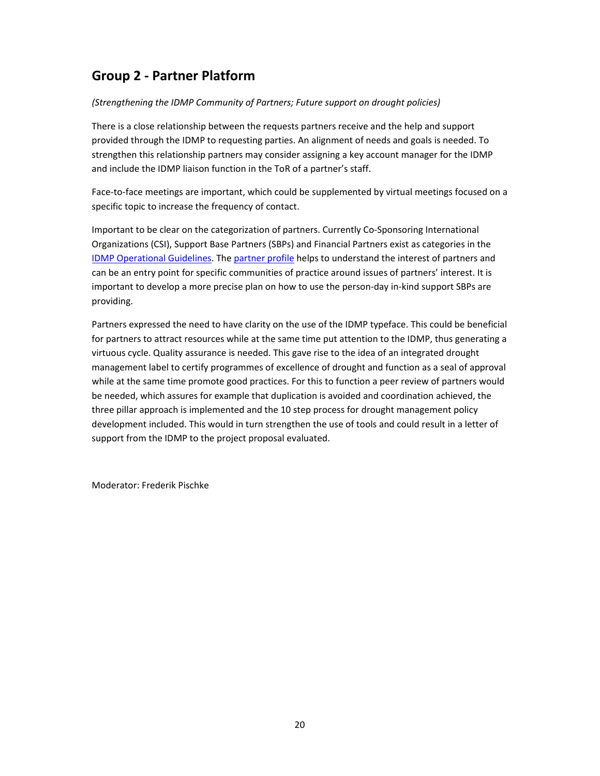### **Group 2 ‐ Partner Platform**

#### *(Strengthening the IDMP Community of Partners; Future support on drought policies)*

There is a close relationship between the requests partners receive and the help and support provided through the IDMP to requesting parties. An alignment of needs and goals is needed. To strengthen this relationship partners may consider assigning a key account manager for the IDMP and include the IDMP liaison function in the ToR of a partner's staff.

Face-to-face meetings are important, which could be supplemented by virtual meetings focused on a specific topic to increase the frequency of contact.

Important to be clear on the categorization of partners. Currently Co-Sponsoring International Organizations (CSI), Support Base Partners (SBPs) and Financial Partners exist as categories in the IDMP Operational Guidelines. The partner profile helps to understand the interest of partners and can be an entry point for specific communities of practice around issues of partners' interest. It is important to develop a more precise plan on how to use the person-day in-kind support SBPs are providing.

Partners expressed the need to have clarity on the use of the IDMP typeface. This could be beneficial for partners to attract resources while at the same time put attention to the IDMP, thus generating a virtuous cycle. Quality assurance is needed. This gave rise to the idea of an integrated drought management label to certify programmes of excellence of drought and function as a seal of approval while at the same time promote good practices. For this to function a peer review of partners would be needed, which assures for example that duplication is avoided and coordination achieved, the three pillar approach is implemented and the 10 step process for drought management policy development included. This would in turn strengthen the use of tools and could result in a letter of support from the IDMP to the project proposal evaluated.

Moderator: Frederik Pischke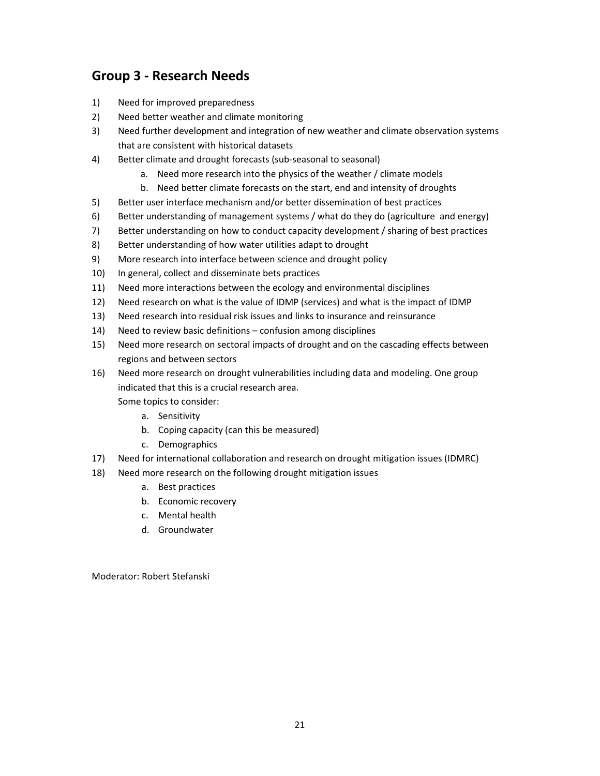### **Group 3 ‐ Research Needs**

- 1) Need for improved preparedness
- 2) Need better weather and climate monitoring
- 3) Need further development and integration of new weather and climate observation systems that are consistent with historical datasets
- 4) Better climate and drought forecasts (sub-seasonal to seasonal)
	- a. Need more research into the physics of the weather / climate models
	- b. Need better climate forecasts on the start, end and intensity of droughts
- 5) Better user interface mechanism and/or better dissemination of best practices
- 6) Better understanding of management systems / what do they do (agriculture and energy)
- 7) Better understanding on how to conduct capacity development / sharing of best practices
- 8) Better understanding of how water utilities adapt to drought
- 9) More research into interface between science and drought policy
- 10) In general, collect and disseminate bets practices
- 11) Need more interactions between the ecology and environmental disciplines
- 12) Need research on what is the value of IDMP (services) and what is the impact of IDMP
- 13) Need research into residual risk issues and links to insurance and reinsurance
- 14) Need to review basic definitions confusion among disciplines
- 15) Need more research on sectoral impacts of drought and on the cascading effects between regions and between sectors
- 16) Need more research on drought vulnerabilities including data and modeling. One group indicated that this is a crucial research area.
	- Some topics to consider:
		- a. Sensitivity
		- b. Coping capacity (can this be measured)
		- c. Demographics
- 17) Need for international collaboration and research on drought mitigation issues (IDMRC)
- 18) Need more research on the following drought mitigation issues
	- a. Best practices
	- b. Economic recovery
	- c. Mental health
	- d. Groundwater

Moderator: Robert Stefanski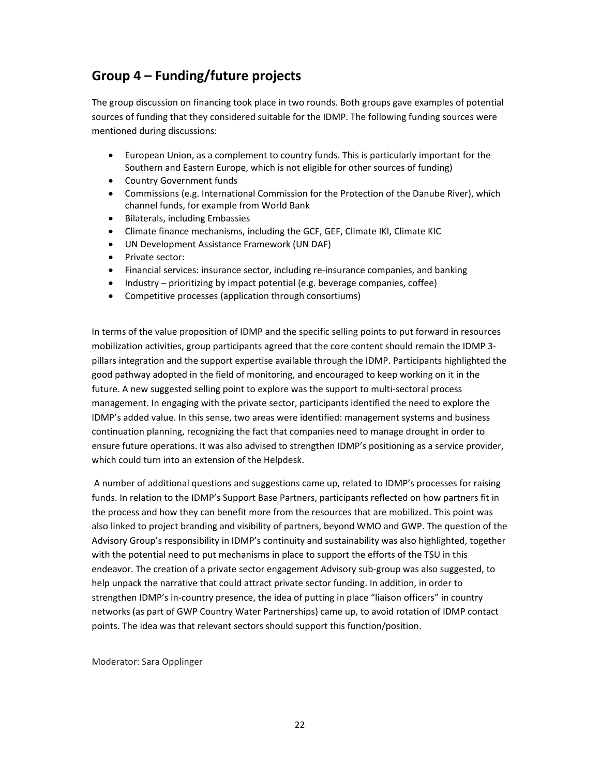### **Group 4 – Funding/future projects**

The group discussion on financing took place in two rounds. Both groups gave examples of potential sources of funding that they considered suitable for the IDMP. The following funding sources were mentioned during discussions:

- European Union, as a complement to country funds. This is particularly important for the Southern and Eastern Europe, which is not eligible for other sources of funding)
- Country Government funds
- Commissions (e.g. International Commission for the Protection of the Danube River), which channel funds, for example from World Bank
- Bilaterals, including Embassies
- Climate finance mechanisms, including the GCF, GEF, Climate IKI, Climate KIC
- UN Development Assistance Framework (UN DAF)
- Private sector:
- Financial services: insurance sector, including re‐insurance companies, and banking
- Industry prioritizing by impact potential (e.g. beverage companies, coffee)
- Competitive processes (application through consortiums)

In terms of the value proposition of IDMP and the specific selling points to put forward in resources mobilization activities, group participants agreed that the core content should remain the IDMP 3‐ pillars integration and the support expertise available through the IDMP. Participants highlighted the good pathway adopted in the field of monitoring, and encouraged to keep working on it in the future. A new suggested selling point to explore was the support to multi‐sectoral process management. In engaging with the private sector, participants identified the need to explore the IDMP's added value. In this sense, two areas were identified: management systems and business continuation planning, recognizing the fact that companies need to manage drought in order to ensure future operations. It was also advised to strengthen IDMP's positioning as a service provider, which could turn into an extension of the Helpdesk.

A number of additional questions and suggestions came up, related to IDMP's processes for raising funds. In relation to the IDMP's Support Base Partners, participants reflected on how partners fit in the process and how they can benefit more from the resources that are mobilized. This point was also linked to project branding and visibility of partners, beyond WMO and GWP. The question of the Advisory Group's responsibility in IDMP's continuity and sustainability was also highlighted, together with the potential need to put mechanisms in place to support the efforts of the TSU in this endeavor. The creation of a private sector engagement Advisory sub‐group was also suggested, to help unpack the narrative that could attract private sector funding. In addition, in order to strengthen IDMP's in‐country presence, the idea of putting in place "liaison officers" in country networks (as part of GWP Country Water Partnerships) came up, to avoid rotation of IDMP contact points. The idea was that relevant sectors should support this function/position.

Moderator: Sara Opplinger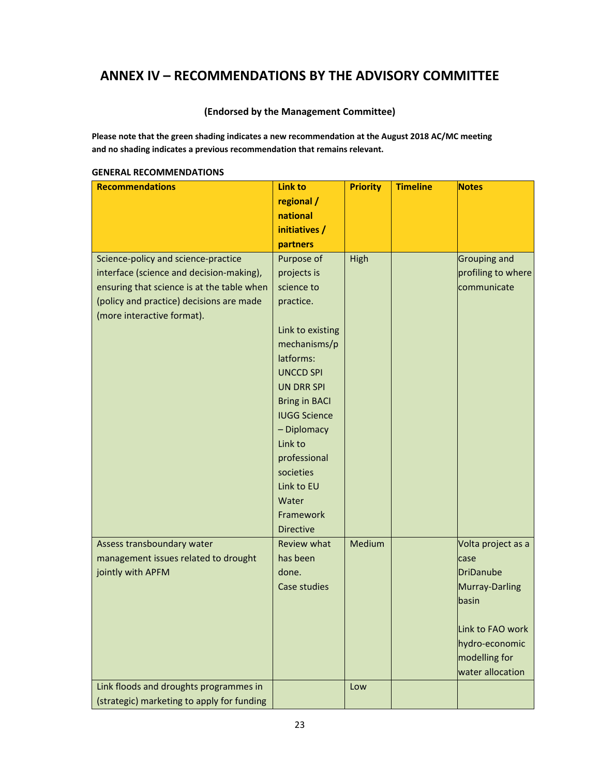### **ANNEX IV – RECOMMENDATIONS BY THE ADVISORY COMMITTEE**

#### **(Endorsed by the Management Committee)**

**Please note that the green shading indicates a new recommendation at the August 2018 AC/MC meeting and no shading indicates a previous recommendation that remains relevant.**

| <b>Recommendations</b>                     | <b>Link to</b>       | <b>Priority</b> | <b>Timeline</b> | <b>Notes</b>        |
|--------------------------------------------|----------------------|-----------------|-----------------|---------------------|
|                                            | regional /           |                 |                 |                     |
|                                            | national             |                 |                 |                     |
|                                            | initiatives /        |                 |                 |                     |
|                                            | partners             |                 |                 |                     |
| Science-policy and science-practice        | Purpose of           | High            |                 | <b>Grouping and</b> |
| interface (science and decision-making),   | projects is          |                 |                 | profiling to where  |
| ensuring that science is at the table when | science to           |                 |                 | communicate         |
| (policy and practice) decisions are made   | practice.            |                 |                 |                     |
| (more interactive format).                 |                      |                 |                 |                     |
|                                            | Link to existing     |                 |                 |                     |
|                                            | mechanisms/p         |                 |                 |                     |
|                                            | latforms:            |                 |                 |                     |
|                                            | <b>UNCCD SPI</b>     |                 |                 |                     |
|                                            | <b>UN DRR SPI</b>    |                 |                 |                     |
|                                            | <b>Bring in BACI</b> |                 |                 |                     |
|                                            | <b>IUGG Science</b>  |                 |                 |                     |
|                                            | - Diplomacy          |                 |                 |                     |
|                                            | Link to              |                 |                 |                     |
|                                            | professional         |                 |                 |                     |
|                                            | societies            |                 |                 |                     |
|                                            | Link to EU           |                 |                 |                     |
|                                            | Water                |                 |                 |                     |
|                                            | Framework            |                 |                 |                     |
|                                            | <b>Directive</b>     |                 |                 |                     |
| Assess transboundary water                 | <b>Review what</b>   | Medium          |                 | Volta project as a  |
| management issues related to drought       | has been             |                 |                 | case                |
| jointly with APFM                          | done.                |                 |                 | <b>DriDanube</b>    |
|                                            | Case studies         |                 |                 | Murray-Darling      |
|                                            |                      |                 |                 | basin               |
|                                            |                      |                 |                 |                     |
|                                            |                      |                 |                 | Link to FAO work    |
|                                            |                      |                 |                 | hydro-economic      |
|                                            |                      |                 |                 | modelling for       |
|                                            |                      |                 |                 | water allocation    |
| Link floods and droughts programmes in     |                      | Low             |                 |                     |
| (strategic) marketing to apply for funding |                      |                 |                 |                     |

#### **GENERAL RECOMMENDATIONS**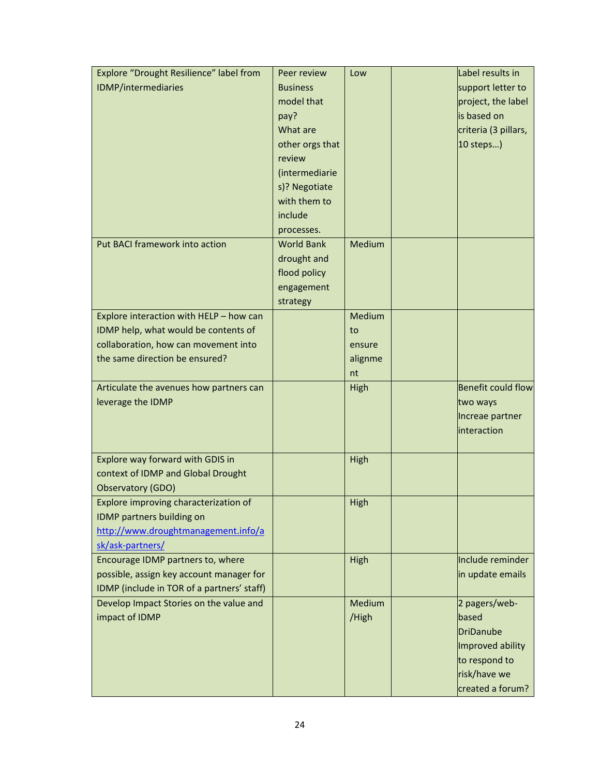| Explore "Drought Resilience" label from    | Peer review       | Low     | Label results in                 |
|--------------------------------------------|-------------------|---------|----------------------------------|
| IDMP/intermediaries                        | <b>Business</b>   |         | support letter to                |
|                                            | model that        |         | project, the label               |
|                                            | pay?              |         | is based on                      |
|                                            | What are          |         | criteria (3 pillars,             |
|                                            | other orgs that   |         | 10 steps)                        |
|                                            | review            |         |                                  |
|                                            | (intermediarie    |         |                                  |
|                                            | s)? Negotiate     |         |                                  |
|                                            | with them to      |         |                                  |
|                                            | include           |         |                                  |
|                                            | processes.        |         |                                  |
| Put BACI framework into action             | <b>World Bank</b> | Medium  |                                  |
|                                            | drought and       |         |                                  |
|                                            | flood policy      |         |                                  |
|                                            | engagement        |         |                                  |
|                                            | strategy          |         |                                  |
| Explore interaction with HELP - how can    |                   | Medium  |                                  |
| IDMP help, what would be contents of       |                   | to      |                                  |
| collaboration, how can movement into       |                   | ensure  |                                  |
| the same direction be ensured?             |                   | alignme |                                  |
|                                            |                   | nt      |                                  |
| Articulate the avenues how partners can    |                   | High    | <b>Benefit could flow</b>        |
|                                            |                   |         |                                  |
|                                            |                   |         |                                  |
| leverage the IDMP                          |                   |         | two ways                         |
|                                            |                   |         | Increae partner                  |
|                                            |                   |         | interaction                      |
|                                            |                   |         |                                  |
| Explore way forward with GDIS in           |                   | High    |                                  |
| context of IDMP and Global Drought         |                   |         |                                  |
| Observatory (GDO)                          |                   |         |                                  |
| Explore improving characterization of      |                   | High    |                                  |
| IDMP partners building on                  |                   |         |                                  |
| http://www.droughtmanagement.info/a        |                   |         |                                  |
| sk/ask-partners/                           |                   |         |                                  |
| Encourage IDMP partners to, where          |                   | High    | Include reminder                 |
| possible, assign key account manager for   |                   |         | in update emails                 |
| IDMP (include in TOR of a partners' staff) |                   |         |                                  |
| Develop Impact Stories on the value and    |                   | Medium  | 2 pagers/web-                    |
| impact of IDMP                             |                   | /High   | based                            |
|                                            |                   |         | <b>DriDanube</b>                 |
|                                            |                   |         | Improved ability                 |
|                                            |                   |         | to respond to                    |
|                                            |                   |         | risk/have we<br>created a forum? |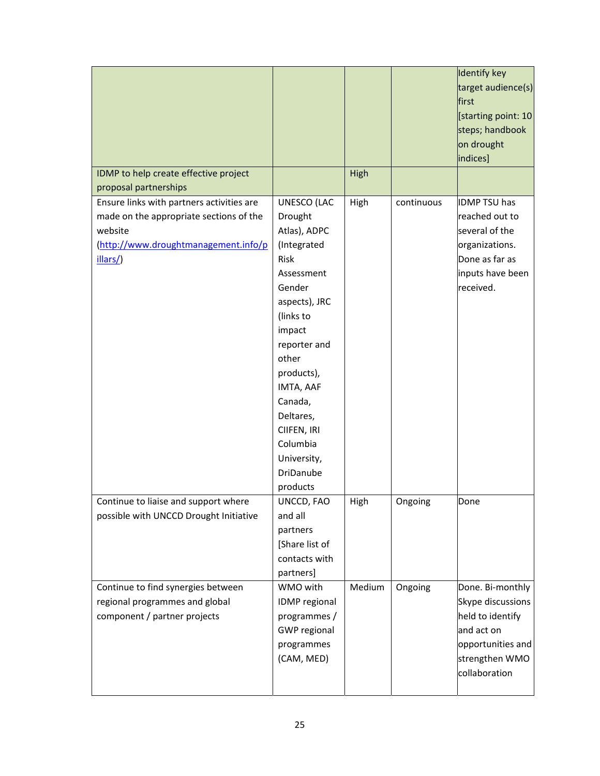| IDMP to help create effective project                                                                                                               |                                                                                                                                                                                                                                                                                     | High   |            | Identify key<br>target audience(s)<br>first<br>[starting point: 10]<br>steps; handbook<br>on drought<br>indices]                |
|-----------------------------------------------------------------------------------------------------------------------------------------------------|-------------------------------------------------------------------------------------------------------------------------------------------------------------------------------------------------------------------------------------------------------------------------------------|--------|------------|---------------------------------------------------------------------------------------------------------------------------------|
| proposal partnerships                                                                                                                               |                                                                                                                                                                                                                                                                                     |        |            |                                                                                                                                 |
| Ensure links with partners activities are<br>made on the appropriate sections of the<br>website<br>(http://www.droughtmanagement.info/p<br>illars/) | UNESCO (LAC<br>Drought<br>Atlas), ADPC<br>(Integrated<br>Risk<br>Assessment<br>Gender<br>aspects), JRC<br>(links to<br>impact<br>reporter and<br>other<br>products),<br>IMTA, AAF<br>Canada,<br>Deltares,<br>CIIFEN, IRI<br>Columbia<br>University,<br><b>DriDanube</b><br>products | High   | continuous | <b>IDMP TSU has</b><br>reached out to<br>several of the<br>organizations.<br>Done as far as<br>inputs have been<br>received.    |
| Continue to liaise and support where<br>possible with UNCCD Drought Initiative                                                                      | UNCCD, FAO<br>and all<br>partners<br>[Share list of<br>contacts with<br>partners]                                                                                                                                                                                                   | High   | Ongoing    | Done                                                                                                                            |
| Continue to find synergies between<br>regional programmes and global<br>component / partner projects                                                | WMO with<br>IDMP regional<br>programmes /<br><b>GWP</b> regional<br>programmes<br>(CAM, MED)                                                                                                                                                                                        | Medium | Ongoing    | Done. Bi-monthly<br>Skype discussions<br>held to identify<br>and act on<br>opportunities and<br>strengthen WMO<br>collaboration |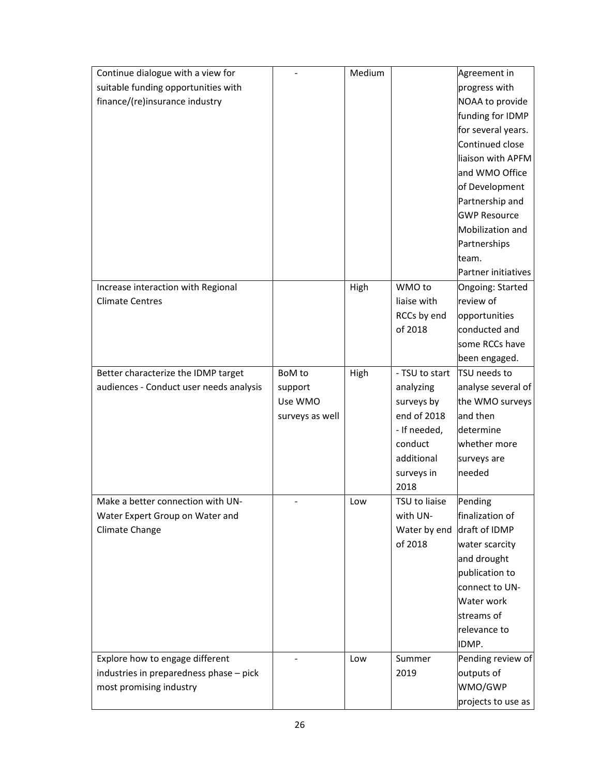| Continue dialogue with a view for       |                 | Medium |                | Agreement in        |
|-----------------------------------------|-----------------|--------|----------------|---------------------|
| suitable funding opportunities with     |                 |        |                | progress with       |
| finance/(re)insurance industry          |                 |        |                | NOAA to provide     |
|                                         |                 |        |                | funding for IDMP    |
|                                         |                 |        |                | for several years.  |
|                                         |                 |        |                | Continued close     |
|                                         |                 |        |                | liaison with APFM   |
|                                         |                 |        |                | and WMO Office      |
|                                         |                 |        |                | of Development      |
|                                         |                 |        |                | Partnership and     |
|                                         |                 |        |                | <b>GWP Resource</b> |
|                                         |                 |        |                | Mobilization and    |
|                                         |                 |        |                | Partnerships        |
|                                         |                 |        |                | team.               |
|                                         |                 |        |                | Partner initiatives |
| Increase interaction with Regional      |                 | High   | WMO to         | Ongoing: Started    |
| <b>Climate Centres</b>                  |                 |        | liaise with    | review of           |
|                                         |                 |        | RCCs by end    | opportunities       |
|                                         |                 |        | of 2018        | conducted and       |
|                                         |                 |        |                | some RCCs have      |
|                                         |                 |        |                | been engaged.       |
| Better characterize the IDMP target     | BoM to          | High   | - TSU to start | TSU needs to        |
| audiences - Conduct user needs analysis | support         |        | analyzing      | analyse several of  |
|                                         | Use WMO         |        | surveys by     | the WMO surveys     |
|                                         | surveys as well |        | end of 2018    | and then            |
|                                         |                 |        | - If needed,   | determine           |
|                                         |                 |        | conduct        | whether more        |
|                                         |                 |        | additional     | surveys are         |
|                                         |                 |        | surveys in     | needed              |
|                                         |                 |        | 2018           |                     |
| Make a better connection with UN-       |                 | Low    | TSU to liaise  | Pending             |
| Water Expert Group on Water and         |                 |        | with UN-       | finalization of     |
| Climate Change                          |                 |        | Water by end   | draft of IDMP       |
|                                         |                 |        | of 2018        | water scarcity      |
|                                         |                 |        |                | and drought         |
|                                         |                 |        |                | publication to      |
|                                         |                 |        |                | connect to UN-      |
|                                         |                 |        |                | Water work          |
|                                         |                 |        |                | streams of          |
|                                         |                 |        |                | relevance to        |
|                                         |                 |        |                | IDMP.               |
| Explore how to engage different         |                 | Low    | Summer         | Pending review of   |
| industries in preparedness phase - pick |                 |        | 2019           | outputs of          |
| most promising industry                 |                 |        |                | WMO/GWP             |
|                                         |                 |        |                | projects to use as  |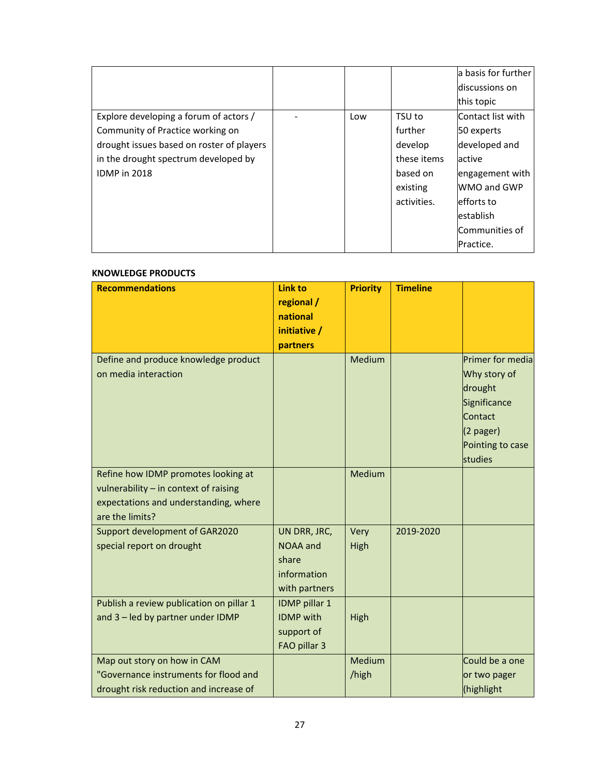|                                           |     |             | la basis for further |
|-------------------------------------------|-----|-------------|----------------------|
|                                           |     |             | discussions on       |
|                                           |     |             | this topic           |
| Explore developing a forum of actors /    | Low | TSU to      | Contact list with    |
| Community of Practice working on          |     | further     | 50 experts           |
| drought issues based on roster of players |     | develop     | developed and        |
| in the drought spectrum developed by      |     | these items | active               |
| <b>IDMP</b> in 2018                       |     | based on    | engagement with      |
|                                           |     | existing    | WMO and GWP          |
|                                           |     | activities. | efforts to           |
|                                           |     |             | establish            |
|                                           |     |             | Communities of       |
|                                           |     |             | Practice.            |

#### **KNOWLEDGE PRODUCTS**

| <b>Recommendations</b>                                                                                                                   | <b>Link to</b><br>regional /<br>national<br>initiative /<br>partners | <b>Priority</b>        | <b>Timeline</b> |                                                                                                                      |
|------------------------------------------------------------------------------------------------------------------------------------------|----------------------------------------------------------------------|------------------------|-----------------|----------------------------------------------------------------------------------------------------------------------|
| Define and produce knowledge product<br>on media interaction                                                                             |                                                                      | Medium                 |                 | Primer for media<br>Why story of<br>drought<br>Significance<br>Contact<br>$(2$ pager)<br>Pointing to case<br>studies |
| Refine how IDMP promotes looking at<br>vulnerability - in context of raising<br>expectations and understanding, where<br>are the limits? |                                                                      | Medium                 |                 |                                                                                                                      |
| Support development of GAR2020<br>special report on drought                                                                              | UN DRR, JRC,<br>NOAA and<br>share<br>information<br>with partners    | Very<br>High           | 2019-2020       |                                                                                                                      |
| Publish a review publication on pillar 1<br>and 3 - led by partner under IDMP                                                            | IDMP pillar 1<br><b>IDMP</b> with<br>support of<br>FAO pillar 3      | High                   |                 |                                                                                                                      |
| Map out story on how in CAM<br>"Governance instruments for flood and<br>drought risk reduction and increase of                           |                                                                      | <b>Medium</b><br>/high |                 | Could be a one<br>or two pager<br>(highlight                                                                         |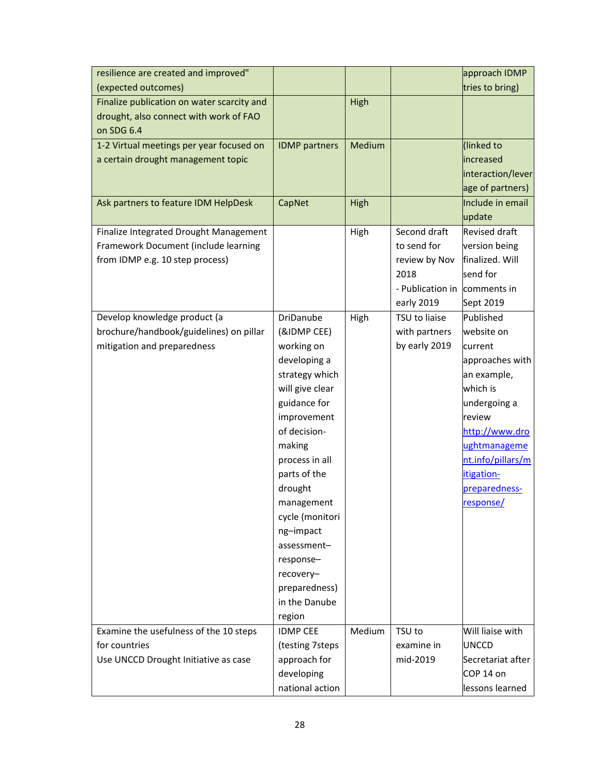| resilience are created and improved"       |                        |        |                  | approach IDMP        |
|--------------------------------------------|------------------------|--------|------------------|----------------------|
| (expected outcomes)                        |                        |        |                  | tries to bring)      |
| Finalize publication on water scarcity and |                        | High   |                  |                      |
| drought, also connect with work of FAO     |                        |        |                  |                      |
| on SDG 6.4                                 |                        |        |                  |                      |
| 1-2 Virtual meetings per year focused on   | <b>IDMP</b> partners   | Medium |                  | (linked to           |
| a certain drought management topic         |                        |        |                  | increased            |
|                                            |                        |        |                  | interaction/lever    |
|                                            |                        |        |                  | age of partners)     |
| Ask partners to feature IDM HelpDesk       | CapNet                 | High   |                  | Include in email     |
|                                            |                        |        |                  | update               |
| Finalize Integrated Drought Management     |                        | High   | Second draft     | <b>Revised draft</b> |
| Framework Document (include learning       |                        |        | to send for      | version being        |
| from IDMP e.g. 10 step process)            |                        |        | review by Nov    | finalized. Will      |
|                                            |                        |        | 2018             | send for             |
|                                            |                        |        | - Publication in | comments in          |
|                                            |                        |        | early 2019       | Sept 2019            |
| Develop knowledge product (a               | DriDanube              | High   | TSU to liaise    | Published            |
| brochure/handbook/guidelines) on pillar    | (&IDMP CEE)            |        | with partners    | website on           |
| mitigation and preparedness                | working on             |        | by early 2019    | current              |
|                                            | developing a           |        |                  | approaches with      |
|                                            | strategy which         |        |                  | an example,          |
|                                            | will give clear        |        |                  | which is             |
|                                            | guidance for           |        |                  | undergoing a         |
|                                            | improvement            |        |                  | review               |
|                                            | of decision-           |        |                  | http://www.dro       |
|                                            | making                 |        |                  | ughtmanageme         |
|                                            | process in all         |        |                  | nt.info/pillars/m    |
|                                            | parts of the           |        |                  | itigation-           |
|                                            | drought                |        |                  | preparedness-        |
|                                            | management             |        |                  | response/            |
|                                            | cycle (monitori        |        |                  |                      |
|                                            | ng-impact              |        |                  |                      |
|                                            | assessment-            |        |                  |                      |
|                                            | response-<br>recovery- |        |                  |                      |
|                                            | preparedness)          |        |                  |                      |
|                                            | in the Danube          |        |                  |                      |
|                                            | region                 |        |                  |                      |
| Examine the usefulness of the 10 steps     | <b>IDMP CEE</b>        | Medium | TSU to           | Will liaise with     |
| for countries                              | (testing 7steps        |        | examine in       | <b>UNCCD</b>         |
| Use UNCCD Drought Initiative as case       | approach for           |        | mid-2019         | Secretariat after    |
|                                            | developing             |        |                  | COP 14 on            |
|                                            | national action        |        |                  | lessons learned      |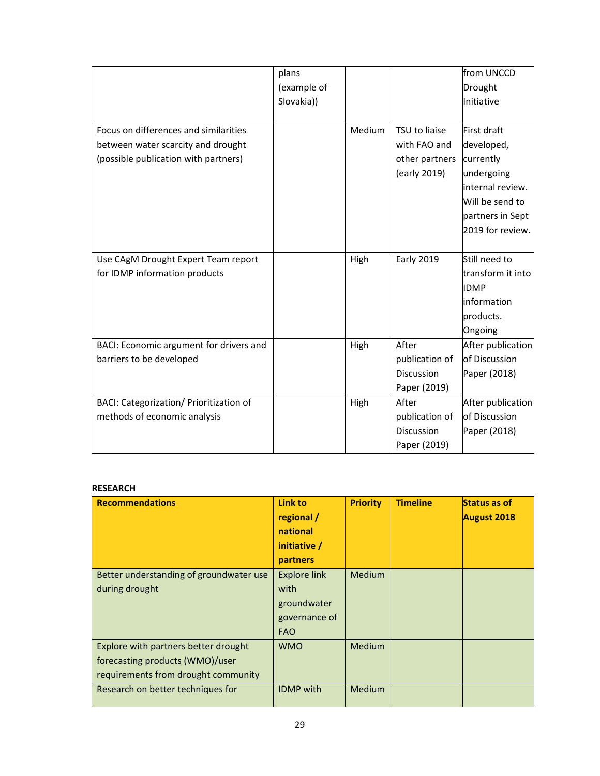|                                         | plans       |        |                   | from UNCCD        |
|-----------------------------------------|-------------|--------|-------------------|-------------------|
|                                         | (example of |        |                   | Drought           |
|                                         | Slovakia))  |        |                   | Initiative        |
|                                         |             |        |                   |                   |
| Focus on differences and similarities   |             | Medium | TSU to liaise     | First draft       |
| between water scarcity and drought      |             |        | with FAO and      | developed,        |
| (possible publication with partners)    |             |        | other partners    | currently         |
|                                         |             |        | (early 2019)      | undergoing        |
|                                         |             |        |                   | internal review.  |
|                                         |             |        |                   | Will be send to   |
|                                         |             |        |                   | partners in Sept  |
|                                         |             |        |                   | 2019 for review.  |
|                                         |             |        |                   |                   |
| Use CAgM Drought Expert Team report     |             | High   | <b>Early 2019</b> | Still need to     |
| for IDMP information products           |             |        |                   | transform it into |
|                                         |             |        |                   | <b>IDMP</b>       |
|                                         |             |        |                   | information       |
|                                         |             |        |                   | products.         |
|                                         |             |        |                   | Ongoing           |
| BACI: Economic argument for drivers and |             | High   | After             | After publication |
| barriers to be developed                |             |        | publication of    | of Discussion     |
|                                         |             |        | <b>Discussion</b> | Paper (2018)      |
|                                         |             |        | Paper (2019)      |                   |
| BACI: Categorization/ Prioritization of |             | High   | After             | After publication |
| methods of economic analysis            |             |        | publication of    | of Discussion     |
|                                         |             |        | Discussion        | Paper (2018)      |
|                                         |             |        | Paper (2019)      |                   |

#### **RESEARCH**

| <b>Recommendations</b>                                                                                         | Link to<br>regional /<br>national<br>initiative /<br>partners             | <b>Priority</b> | <b>Timeline</b> | <b>Status as of</b><br><b>August 2018</b> |
|----------------------------------------------------------------------------------------------------------------|---------------------------------------------------------------------------|-----------------|-----------------|-------------------------------------------|
| Better understanding of groundwater use<br>during drought                                                      | <b>Explore link</b><br>with<br>groundwater<br>governance of<br><b>FAO</b> | <b>Medium</b>   |                 |                                           |
| Explore with partners better drought<br>forecasting products (WMO)/user<br>requirements from drought community | <b>WMO</b>                                                                | <b>Medium</b>   |                 |                                           |
| Research on better techniques for                                                                              | <b>IDMP</b> with                                                          | <b>Medium</b>   |                 |                                           |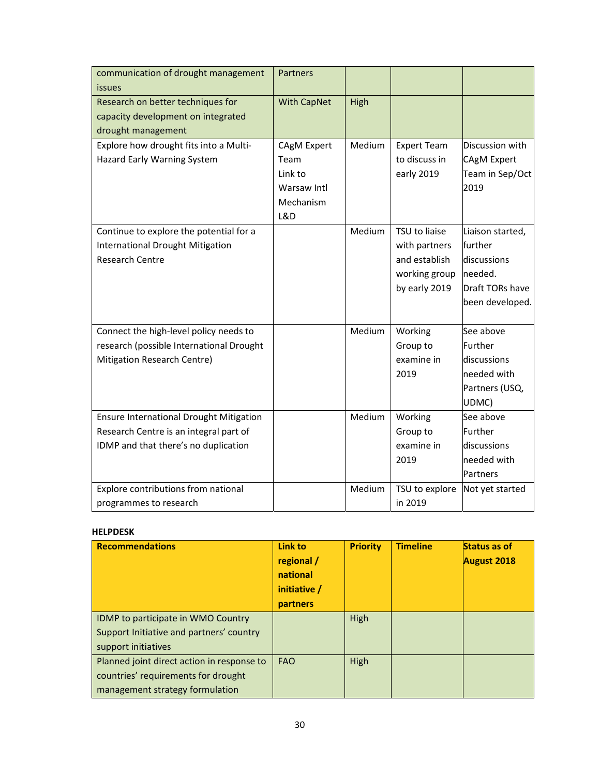| communication of drought management<br>issues                                                                                                                           | Partners                                                          |                  |                                                                                   |                                                                                             |
|-------------------------------------------------------------------------------------------------------------------------------------------------------------------------|-------------------------------------------------------------------|------------------|-----------------------------------------------------------------------------------|---------------------------------------------------------------------------------------------|
| Research on better techniques for<br>capacity development on integrated<br>drought management                                                                           | <b>With CapNet</b>                                                | High             |                                                                                   |                                                                                             |
| Explore how drought fits into a Multi-<br>Hazard Early Warning System                                                                                                   | CAgM Expert<br>Team<br>Link to<br>Warsaw Intl<br>Mechanism<br>L&D | Medium           | <b>Expert Team</b><br>to discuss in<br>early 2019                                 | Discussion with<br><b>CAgM Expert</b><br>Team in Sep/Oct<br>2019                            |
| Continue to explore the potential for a<br><b>International Drought Mitigation</b><br><b>Research Centre</b>                                                            |                                                                   | Medium           | TSU to liaise<br>with partners<br>and establish<br>working group<br>by early 2019 | Liaison started,<br>further<br>discussions<br>needed.<br>Draft TORs have<br>been developed. |
| Connect the high-level policy needs to<br>research (possible International Drought<br>Mitigation Research Centre)                                                       |                                                                   | Medium           | Working<br>Group to<br>examine in<br>2019                                         | See above<br>Further<br>discussions<br>needed with<br>Partners (USQ,<br>UDMC)               |
| <b>Ensure International Drought Mitigation</b><br>Research Centre is an integral part of<br>IDMP and that there's no duplication<br>Explore contributions from national |                                                                   | Medium<br>Medium | Working<br>Group to<br>examine in<br>2019<br>TSU to explore                       | See above<br>Further<br>discussions<br>needed with<br>Partners<br>Not yet started           |
| programmes to research                                                                                                                                                  |                                                                   |                  | in 2019                                                                           |                                                                                             |

#### **HELPDESK**

| <b>Recommendations</b>                                                            | Link to<br>regional /<br>national<br>initiative /<br>partners | <b>Priority</b> | <b>Timeline</b> | Status as of<br><b>August 2018</b> |
|-----------------------------------------------------------------------------------|---------------------------------------------------------------|-----------------|-----------------|------------------------------------|
| IDMP to participate in WMO Country<br>Support Initiative and partners' country    |                                                               | High            |                 |                                    |
| support initiatives                                                               |                                                               |                 |                 |                                    |
| Planned joint direct action in response to<br>countries' requirements for drought | <b>FAO</b>                                                    | High            |                 |                                    |
| management strategy formulation                                                   |                                                               |                 |                 |                                    |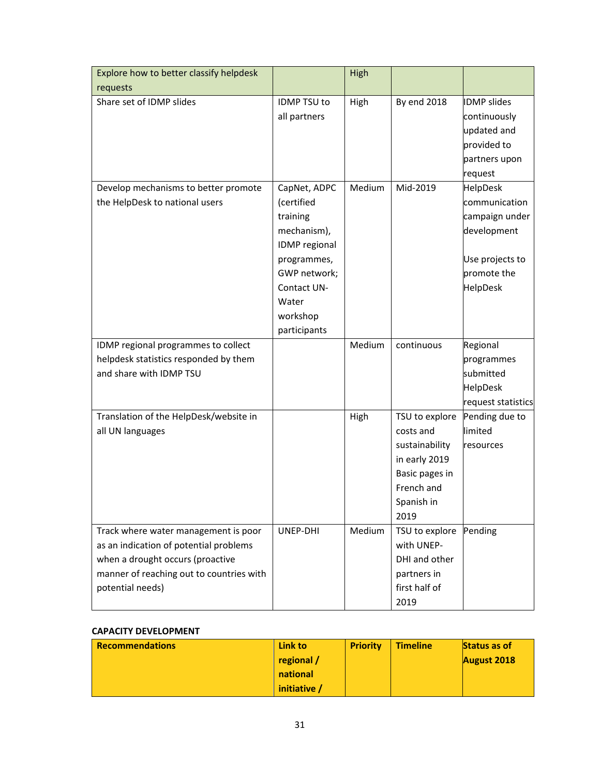| Explore how to better classify helpdesk  |                      | <b>High</b> |                |                    |
|------------------------------------------|----------------------|-------------|----------------|--------------------|
| requests                                 |                      |             |                |                    |
| Share set of IDMP slides                 | IDMP TSU to          | High        | By end 2018    | <b>IDMP</b> slides |
|                                          | all partners         |             |                | continuously       |
|                                          |                      |             |                | updated and        |
|                                          |                      |             |                | provided to        |
|                                          |                      |             |                | partners upon      |
|                                          |                      |             |                | request            |
| Develop mechanisms to better promote     | CapNet, ADPC         | Medium      | Mid-2019       | HelpDesk           |
| the HelpDesk to national users           | (certified           |             |                | communication      |
|                                          | training             |             |                | campaign under     |
|                                          | mechanism),          |             |                | development        |
|                                          | <b>IDMP</b> regional |             |                |                    |
|                                          | programmes,          |             |                | Use projects to    |
|                                          | GWP network;         |             |                | promote the        |
|                                          | Contact UN-          |             |                | HelpDesk           |
|                                          | Water                |             |                |                    |
|                                          | workshop             |             |                |                    |
|                                          | participants         |             |                |                    |
| IDMP regional programmes to collect      |                      | Medium      | continuous     | Regional           |
| helpdesk statistics responded by them    |                      |             |                | programmes         |
| and share with IDMP TSU                  |                      |             |                | submitted          |
|                                          |                      |             |                | HelpDesk           |
|                                          |                      |             |                | request statistics |
| Translation of the HelpDesk/website in   |                      | High        | TSU to explore | Pending due to     |
| all UN languages                         |                      |             | costs and      | limited            |
|                                          |                      |             | sustainability | resources          |
|                                          |                      |             | in early 2019  |                    |
|                                          |                      |             | Basic pages in |                    |
|                                          |                      |             | French and     |                    |
|                                          |                      |             | Spanish in     |                    |
|                                          |                      |             | 2019           |                    |
| Track where water management is poor     | UNEP-DHI             | Medium      | TSU to explore | Pending            |
| as an indication of potential problems   |                      |             | with UNEP-     |                    |
| when a drought occurs (proactive         |                      |             | DHI and other  |                    |
| manner of reaching out to countries with |                      |             | partners in    |                    |
| potential needs)                         |                      |             | first half of  |                    |
|                                          |                      |             | 2019           |                    |

#### **CAPACITY DEVELOPMENT**

| <b>Recommendations</b> | Link to    | <b>Priority</b> | <b>Timeline</b> | <b>Status as of</b> |
|------------------------|------------|-----------------|-----------------|---------------------|
|                        | regional / |                 |                 | August 2018         |
|                        | national   |                 |                 |                     |
|                        | initiative |                 |                 |                     |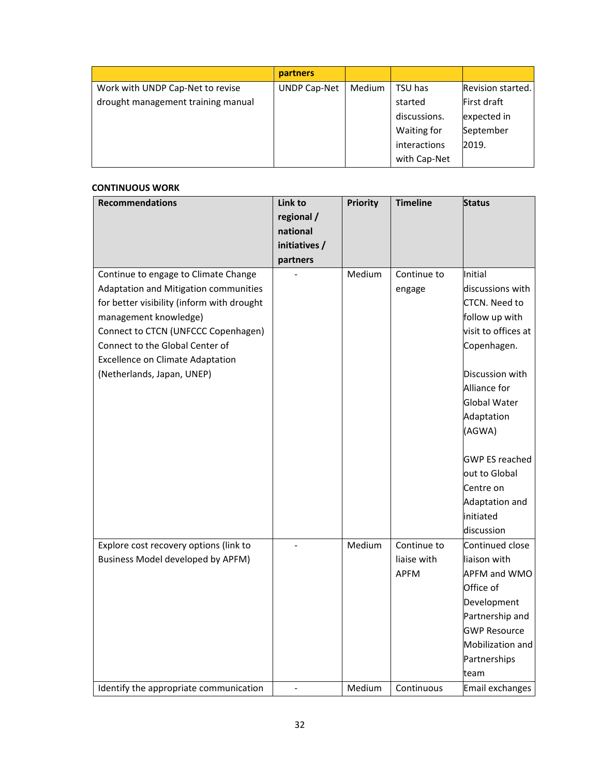|                                    | partners            |        |              |                   |
|------------------------------------|---------------------|--------|--------------|-------------------|
| Work with UNDP Cap-Net to revise   | <b>UNDP Cap-Net</b> | Medium | TSU has      | Revision started. |
| drought management training manual |                     |        | started      | First draft       |
|                                    |                     |        | discussions. | expected in       |
|                                    |                     |        | Waiting for  | September         |
|                                    |                     |        | interactions | 2019.             |
|                                    |                     |        | with Cap-Net |                   |

#### **CONTINUOUS WORK**

| <b>Recommendations</b>                     | Link to       | <b>Priority</b> | <b>Timeline</b> | <b>Status</b>         |
|--------------------------------------------|---------------|-----------------|-----------------|-----------------------|
|                                            | regional /    |                 |                 |                       |
|                                            | national      |                 |                 |                       |
|                                            | initiatives / |                 |                 |                       |
|                                            | partners      |                 |                 |                       |
| Continue to engage to Climate Change       |               | Medium          | Continue to     | Initial               |
| Adaptation and Mitigation communities      |               |                 | engage          | discussions with      |
| for better visibility (inform with drought |               |                 |                 | <b>CTCN. Need to</b>  |
| management knowledge)                      |               |                 |                 | follow up with        |
| Connect to CTCN (UNFCCC Copenhagen)        |               |                 |                 | visit to offices at   |
| Connect to the Global Center of            |               |                 |                 | Copenhagen.           |
| <b>Excellence on Climate Adaptation</b>    |               |                 |                 |                       |
| (Netherlands, Japan, UNEP)                 |               |                 |                 | Discussion with       |
|                                            |               |                 |                 | Alliance for          |
|                                            |               |                 |                 | <b>Global Water</b>   |
|                                            |               |                 |                 | Adaptation            |
|                                            |               |                 |                 | (AGWA)                |
|                                            |               |                 |                 |                       |
|                                            |               |                 |                 | <b>GWP ES reached</b> |
|                                            |               |                 |                 | lout to Global        |
|                                            |               |                 |                 | Centre on             |
|                                            |               |                 |                 | Adaptation and        |
|                                            |               |                 |                 | initiated             |
|                                            |               |                 |                 | discussion            |
| Explore cost recovery options (link to     |               | Medium          | Continue to     | Continued close       |
| Business Model developed by APFM)          |               |                 | liaise with     | liaison with          |
|                                            |               |                 | <b>APFM</b>     | <b>APFM and WMO</b>   |
|                                            |               |                 |                 | Office of             |
|                                            |               |                 |                 | Development           |
|                                            |               |                 |                 | Partnership and       |
|                                            |               |                 |                 | <b>GWP Resource</b>   |
|                                            |               |                 |                 | Mobilization and      |
|                                            |               |                 |                 | Partnerships          |
|                                            |               |                 |                 | team                  |
| Identify the appropriate communication     |               | Medium          | Continuous      | Email exchanges       |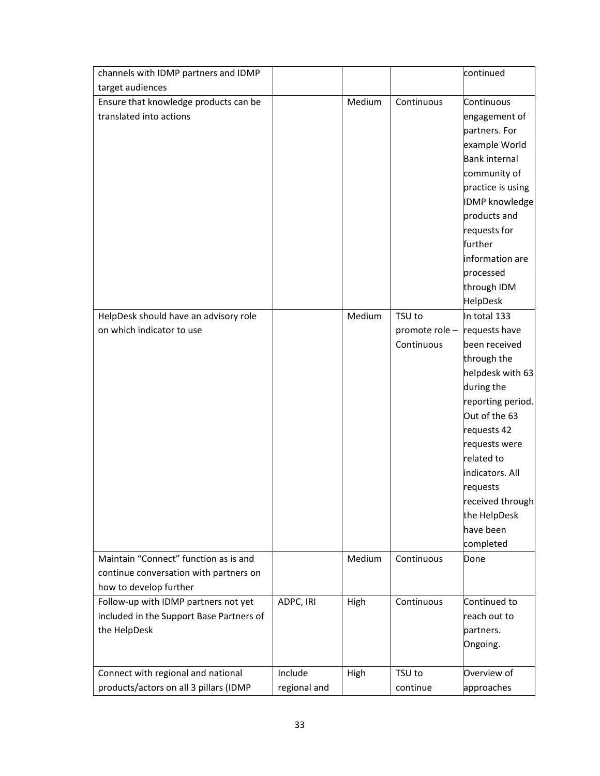| channels with IDMP partners and IDMP     |              |        |                | continued             |
|------------------------------------------|--------------|--------|----------------|-----------------------|
| target audiences                         |              |        |                |                       |
| Ensure that knowledge products can be    |              | Medium | Continuous     | Continuous            |
| translated into actions                  |              |        |                | engagement of         |
|                                          |              |        |                | partners. For         |
|                                          |              |        |                | example World         |
|                                          |              |        |                | <b>Bank internal</b>  |
|                                          |              |        |                | community of          |
|                                          |              |        |                | practice is using     |
|                                          |              |        |                | <b>IDMP</b> knowledge |
|                                          |              |        |                | products and          |
|                                          |              |        |                | requests for          |
|                                          |              |        |                | further               |
|                                          |              |        |                | information are       |
|                                          |              |        |                | processed             |
|                                          |              |        |                | through IDM           |
|                                          |              |        |                | HelpDesk              |
| HelpDesk should have an advisory role    |              | Medium | TSU to         | In total 133          |
| on which indicator to use                |              |        | promote role - | requests have         |
|                                          |              |        | Continuous     | been received         |
|                                          |              |        |                | through the           |
|                                          |              |        |                | helpdesk with 63      |
|                                          |              |        |                | during the            |
|                                          |              |        |                | reporting period.     |
|                                          |              |        |                | Out of the 63         |
|                                          |              |        |                | requests 42           |
|                                          |              |        |                | requests were         |
|                                          |              |        |                | related to            |
|                                          |              |        |                | indicators. All       |
|                                          |              |        |                | requests              |
|                                          |              |        |                | received through      |
|                                          |              |        |                | the HelpDesk          |
|                                          |              |        |                | have been             |
|                                          |              |        |                | completed             |
| Maintain "Connect" function as is and    |              | Medium | Continuous     | Done                  |
| continue conversation with partners on   |              |        |                |                       |
| how to develop further                   |              |        |                |                       |
| Follow-up with IDMP partners not yet     | ADPC, IRI    | High   | Continuous     | Continued to          |
| included in the Support Base Partners of |              |        |                | reach out to          |
| the HelpDesk                             |              |        |                | partners.             |
|                                          |              |        |                | Ongoing.              |
|                                          |              |        |                |                       |
| Connect with regional and national       | Include      | High   | TSU to         | Overview of           |
| products/actors on all 3 pillars (IDMP   | regional and |        | continue       | approaches            |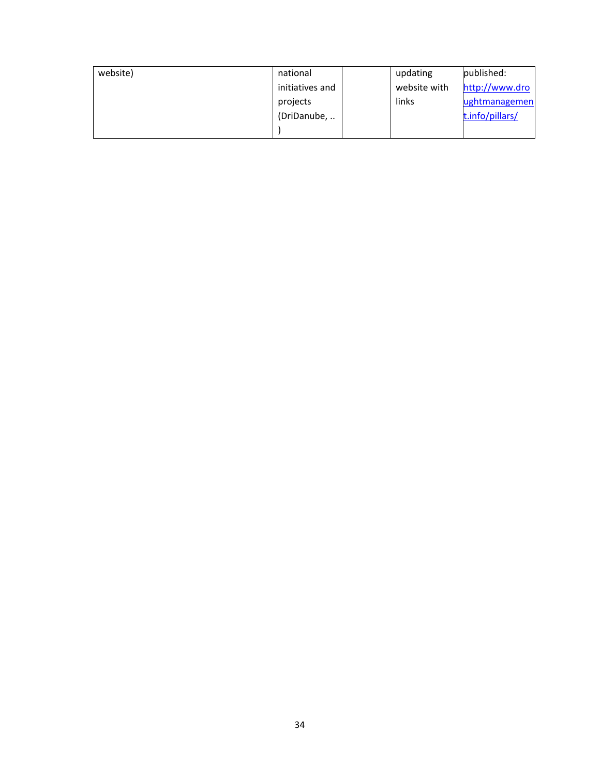| website) | national        | updating     | published:      |
|----------|-----------------|--------------|-----------------|
|          | initiatives and | website with | http://www.dro  |
|          | projects        | links        | lughtmanagemen  |
|          | (DriDanube,     |              | t.info/pillars/ |
|          |                 |              |                 |